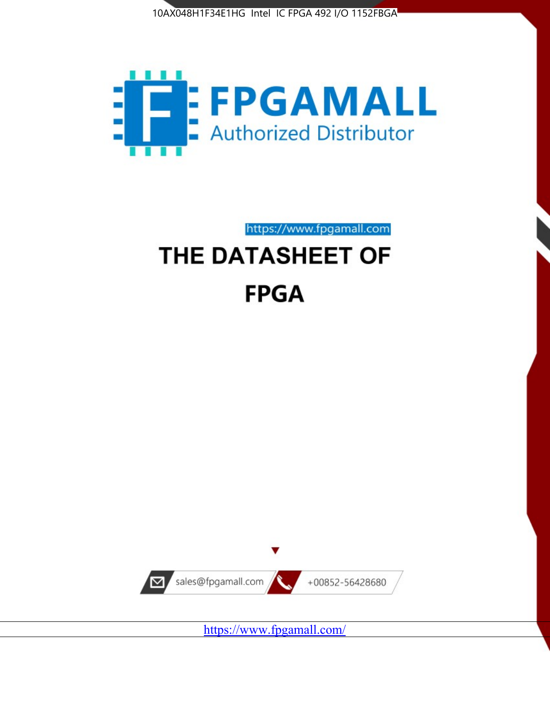



https://www.fpgamall.com THE DATASHEET OF

# **FPGA**



<https://www.fpgamall.com/>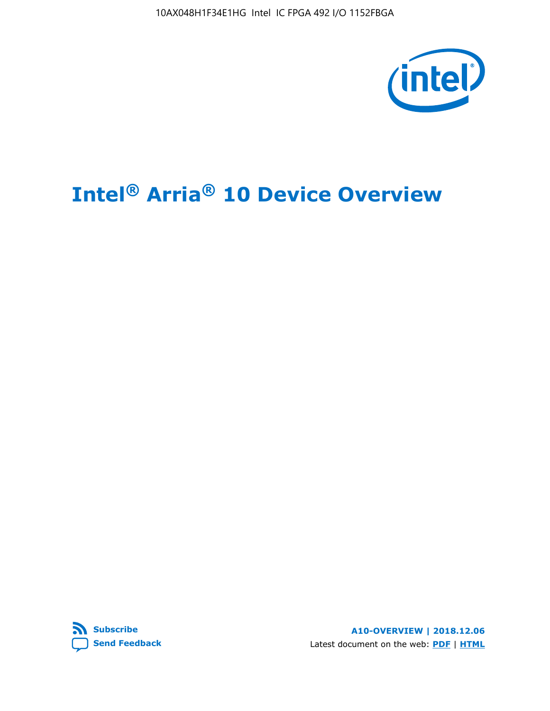10AX048H1F34E1HG Intel IC FPGA 492 I/O 1152FBGA



# **Intel® Arria® 10 Device Overview**



**A10-OVERVIEW | 2018.12.06** Latest document on the web: **[PDF](https://www.intel.com/content/dam/www/programmable/us/en/pdfs/literature/hb/arria-10/a10_overview.pdf)** | **[HTML](https://www.intel.com/content/www/us/en/programmable/documentation/sam1403480274650.html)**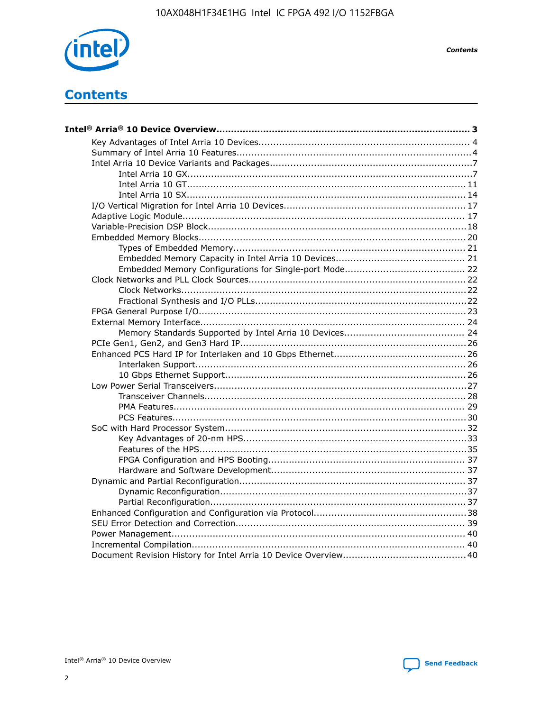

**Contents** 

# **Contents**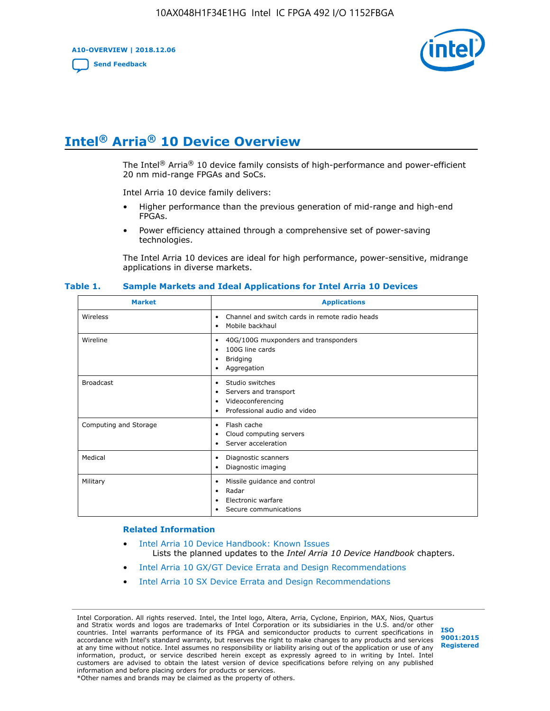**A10-OVERVIEW | 2018.12.06**

**[Send Feedback](mailto:FPGAtechdocfeedback@intel.com?subject=Feedback%20on%20Intel%20Arria%2010%20Device%20Overview%20(A10-OVERVIEW%202018.12.06)&body=We%20appreciate%20your%20feedback.%20In%20your%20comments,%20also%20specify%20the%20page%20number%20or%20paragraph.%20Thank%20you.)**



# **Intel® Arria® 10 Device Overview**

The Intel<sup>®</sup> Arria<sup>®</sup> 10 device family consists of high-performance and power-efficient 20 nm mid-range FPGAs and SoCs.

Intel Arria 10 device family delivers:

- Higher performance than the previous generation of mid-range and high-end FPGAs.
- Power efficiency attained through a comprehensive set of power-saving technologies.

The Intel Arria 10 devices are ideal for high performance, power-sensitive, midrange applications in diverse markets.

| <b>Market</b>         | <b>Applications</b>                                                                                               |
|-----------------------|-------------------------------------------------------------------------------------------------------------------|
| Wireless              | Channel and switch cards in remote radio heads<br>٠<br>Mobile backhaul<br>٠                                       |
| Wireline              | 40G/100G muxponders and transponders<br>٠<br>100G line cards<br>٠<br><b>Bridging</b><br>٠<br>Aggregation<br>٠     |
| <b>Broadcast</b>      | Studio switches<br>٠<br>Servers and transport<br>٠<br>Videoconferencing<br>٠<br>Professional audio and video<br>٠ |
| Computing and Storage | Flash cache<br>٠<br>Cloud computing servers<br>٠<br>Server acceleration<br>٠                                      |
| Medical               | Diagnostic scanners<br>٠<br>Diagnostic imaging<br>٠                                                               |
| Military              | Missile guidance and control<br>٠<br>Radar<br>٠<br>Electronic warfare<br>٠<br>Secure communications<br>٠          |

#### **Table 1. Sample Markets and Ideal Applications for Intel Arria 10 Devices**

#### **Related Information**

- [Intel Arria 10 Device Handbook: Known Issues](http://www.altera.com/support/kdb/solutions/rd07302013_646.html) Lists the planned updates to the *Intel Arria 10 Device Handbook* chapters.
- [Intel Arria 10 GX/GT Device Errata and Design Recommendations](https://www.intel.com/content/www/us/en/programmable/documentation/agz1493851706374.html#yqz1494433888646)
- [Intel Arria 10 SX Device Errata and Design Recommendations](https://www.intel.com/content/www/us/en/programmable/documentation/cru1462832385668.html#cru1462832558642)

Intel Corporation. All rights reserved. Intel, the Intel logo, Altera, Arria, Cyclone, Enpirion, MAX, Nios, Quartus and Stratix words and logos are trademarks of Intel Corporation or its subsidiaries in the U.S. and/or other countries. Intel warrants performance of its FPGA and semiconductor products to current specifications in accordance with Intel's standard warranty, but reserves the right to make changes to any products and services at any time without notice. Intel assumes no responsibility or liability arising out of the application or use of any information, product, or service described herein except as expressly agreed to in writing by Intel. Intel customers are advised to obtain the latest version of device specifications before relying on any published information and before placing orders for products or services. \*Other names and brands may be claimed as the property of others.

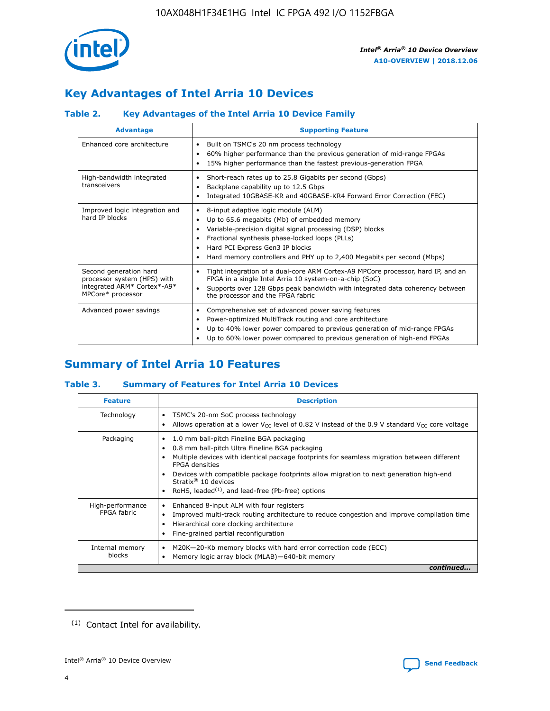

# **Key Advantages of Intel Arria 10 Devices**

# **Table 2. Key Advantages of the Intel Arria 10 Device Family**

| <b>Advantage</b>                                                                                          | <b>Supporting Feature</b>                                                                                                                                                                                                                                                                                                     |
|-----------------------------------------------------------------------------------------------------------|-------------------------------------------------------------------------------------------------------------------------------------------------------------------------------------------------------------------------------------------------------------------------------------------------------------------------------|
| Enhanced core architecture                                                                                | Built on TSMC's 20 nm process technology<br>$\bullet$<br>60% higher performance than the previous generation of mid-range FPGAs<br>٠<br>15% higher performance than the fastest previous-generation FPGA<br>٠                                                                                                                 |
| High-bandwidth integrated<br>transceivers                                                                 | Short-reach rates up to 25.8 Gigabits per second (Gbps)<br>٠<br>Backplane capability up to 12.5 Gbps<br>٠<br>Integrated 10GBASE-KR and 40GBASE-KR4 Forward Error Correction (FEC)<br>٠                                                                                                                                        |
| Improved logic integration and<br>hard IP blocks                                                          | 8-input adaptive logic module (ALM)<br>٠<br>Up to 65.6 megabits (Mb) of embedded memory<br>٠<br>Variable-precision digital signal processing (DSP) blocks<br>Fractional synthesis phase-locked loops (PLLs)<br>٠<br>Hard PCI Express Gen3 IP blocks<br>Hard memory controllers and PHY up to 2,400 Megabits per second (Mbps) |
| Second generation hard<br>processor system (HPS) with<br>integrated ARM* Cortex*-A9*<br>MPCore* processor | Tight integration of a dual-core ARM Cortex-A9 MPCore processor, hard IP, and an<br>٠<br>FPGA in a single Intel Arria 10 system-on-a-chip (SoC)<br>Supports over 128 Gbps peak bandwidth with integrated data coherency between<br>$\bullet$<br>the processor and the FPGA fabric                                             |
| Advanced power savings                                                                                    | Comprehensive set of advanced power saving features<br>٠<br>Power-optimized MultiTrack routing and core architecture<br>٠<br>Up to 40% lower power compared to previous generation of mid-range FPGAs<br>٠<br>Up to 60% lower power compared to previous generation of high-end FPGAs                                         |

# **Summary of Intel Arria 10 Features**

## **Table 3. Summary of Features for Intel Arria 10 Devices**

| <b>Feature</b>                  | <b>Description</b>                                                                                                                                                                                                                                                                                                                                                                                 |
|---------------------------------|----------------------------------------------------------------------------------------------------------------------------------------------------------------------------------------------------------------------------------------------------------------------------------------------------------------------------------------------------------------------------------------------------|
| Technology                      | TSMC's 20-nm SoC process technology<br>Allows operation at a lower $V_{\text{CC}}$ level of 0.82 V instead of the 0.9 V standard $V_{\text{CC}}$ core voltage                                                                                                                                                                                                                                      |
| Packaging                       | 1.0 mm ball-pitch Fineline BGA packaging<br>٠<br>0.8 mm ball-pitch Ultra Fineline BGA packaging<br>Multiple devices with identical package footprints for seamless migration between different<br><b>FPGA</b> densities<br>Devices with compatible package footprints allow migration to next generation high-end<br>Stratix $@10$ devices<br>RoHS, leaded $(1)$ , and lead-free (Pb-free) options |
| High-performance<br>FPGA fabric | Enhanced 8-input ALM with four registers<br>Improved multi-track routing architecture to reduce congestion and improve compilation time<br>Hierarchical core clocking architecture<br>Fine-grained partial reconfiguration                                                                                                                                                                         |
| Internal memory<br>blocks       | M20K-20-Kb memory blocks with hard error correction code (ECC)<br>Memory logic array block (MLAB)-640-bit memory                                                                                                                                                                                                                                                                                   |
|                                 | continued                                                                                                                                                                                                                                                                                                                                                                                          |



<sup>(1)</sup> Contact Intel for availability.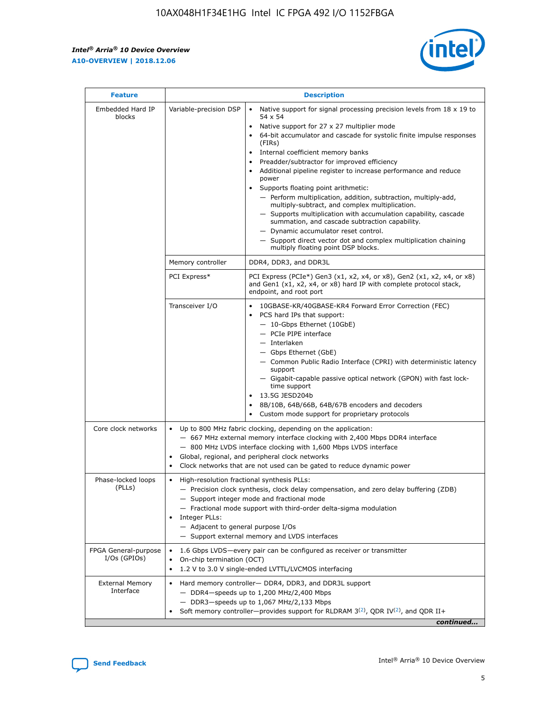r



| <b>Feature</b>                         | <b>Description</b>                                                                                             |                                                                                                                                                                                                                                                                                                                                                                                                                                                                                                                                                                                                                                                                                                                                                                                                                                                                  |  |  |  |  |  |
|----------------------------------------|----------------------------------------------------------------------------------------------------------------|------------------------------------------------------------------------------------------------------------------------------------------------------------------------------------------------------------------------------------------------------------------------------------------------------------------------------------------------------------------------------------------------------------------------------------------------------------------------------------------------------------------------------------------------------------------------------------------------------------------------------------------------------------------------------------------------------------------------------------------------------------------------------------------------------------------------------------------------------------------|--|--|--|--|--|
| Embedded Hard IP<br>blocks             | Variable-precision DSP                                                                                         | Native support for signal processing precision levels from $18 \times 19$ to<br>$\bullet$<br>54 x 54<br>Native support for 27 x 27 multiplier mode<br>$\bullet$<br>64-bit accumulator and cascade for systolic finite impulse responses<br>(FIRs)<br>Internal coefficient memory banks<br>$\bullet$<br>Preadder/subtractor for improved efficiency<br>Additional pipeline register to increase performance and reduce<br>power<br>Supports floating point arithmetic:<br>- Perform multiplication, addition, subtraction, multiply-add,<br>multiply-subtract, and complex multiplication.<br>- Supports multiplication with accumulation capability, cascade<br>summation, and cascade subtraction capability.<br>- Dynamic accumulator reset control.<br>- Support direct vector dot and complex multiplication chaining<br>multiply floating point DSP blocks. |  |  |  |  |  |
|                                        | Memory controller                                                                                              | DDR4, DDR3, and DDR3L                                                                                                                                                                                                                                                                                                                                                                                                                                                                                                                                                                                                                                                                                                                                                                                                                                            |  |  |  |  |  |
|                                        | PCI Express*                                                                                                   | PCI Express (PCIe*) Gen3 (x1, x2, x4, or x8), Gen2 (x1, x2, x4, or x8)<br>and Gen1 (x1, x2, x4, or x8) hard IP with complete protocol stack,<br>endpoint, and root port                                                                                                                                                                                                                                                                                                                                                                                                                                                                                                                                                                                                                                                                                          |  |  |  |  |  |
|                                        | Transceiver I/O                                                                                                | 10GBASE-KR/40GBASE-KR4 Forward Error Correction (FEC)<br>PCS hard IPs that support:<br>- 10-Gbps Ethernet (10GbE)<br>- PCIe PIPE interface<br>- Interlaken<br>- Gbps Ethernet (GbE)<br>- Common Public Radio Interface (CPRI) with deterministic latency<br>support<br>- Gigabit-capable passive optical network (GPON) with fast lock-<br>time support<br>13.5G JESD204b<br>$\bullet$<br>8B/10B, 64B/66B, 64B/67B encoders and decoders<br>Custom mode support for proprietary protocols                                                                                                                                                                                                                                                                                                                                                                        |  |  |  |  |  |
| Core clock networks                    | $\bullet$                                                                                                      | Up to 800 MHz fabric clocking, depending on the application:<br>- 667 MHz external memory interface clocking with 2,400 Mbps DDR4 interface<br>- 800 MHz LVDS interface clocking with 1,600 Mbps LVDS interface<br>Global, regional, and peripheral clock networks<br>Clock networks that are not used can be gated to reduce dynamic power                                                                                                                                                                                                                                                                                                                                                                                                                                                                                                                      |  |  |  |  |  |
| Phase-locked loops<br>(PLLs)           | High-resolution fractional synthesis PLLs:<br>$\bullet$<br>Integer PLLs:<br>- Adjacent to general purpose I/Os | - Precision clock synthesis, clock delay compensation, and zero delay buffering (ZDB)<br>- Support integer mode and fractional mode<br>- Fractional mode support with third-order delta-sigma modulation<br>- Support external memory and LVDS interfaces                                                                                                                                                                                                                                                                                                                                                                                                                                                                                                                                                                                                        |  |  |  |  |  |
| FPGA General-purpose<br>$I/Os$ (GPIOs) | On-chip termination (OCT)<br>٠<br>$\bullet$                                                                    | 1.6 Gbps LVDS-every pair can be configured as receiver or transmitter<br>1.2 V to 3.0 V single-ended LVTTL/LVCMOS interfacing                                                                                                                                                                                                                                                                                                                                                                                                                                                                                                                                                                                                                                                                                                                                    |  |  |  |  |  |
| <b>External Memory</b><br>Interface    | $\bullet$                                                                                                      | Hard memory controller- DDR4, DDR3, and DDR3L support<br>$-$ DDR4-speeds up to 1,200 MHz/2,400 Mbps<br>- DDR3-speeds up to 1,067 MHz/2,133 Mbps<br>Soft memory controller—provides support for RLDRAM $3^{(2)}$ , QDR IV $^{(2)}$ , and QDR II+<br>continued                                                                                                                                                                                                                                                                                                                                                                                                                                                                                                                                                                                                     |  |  |  |  |  |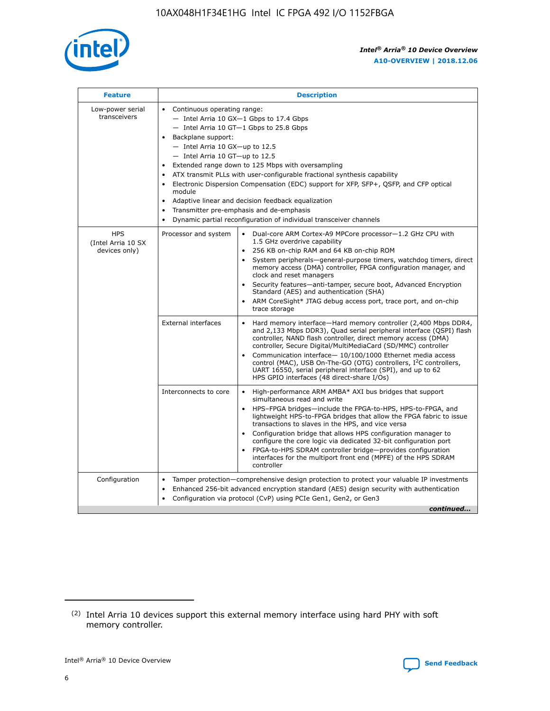

| <b>Feature</b>                                    | <b>Description</b>                                                                                                                                                                                                                                                                                                                                                                                                                                                                                                                                                                                                                                  |
|---------------------------------------------------|-----------------------------------------------------------------------------------------------------------------------------------------------------------------------------------------------------------------------------------------------------------------------------------------------------------------------------------------------------------------------------------------------------------------------------------------------------------------------------------------------------------------------------------------------------------------------------------------------------------------------------------------------------|
| Low-power serial<br>transceivers                  | • Continuous operating range:<br>- Intel Arria 10 GX-1 Gbps to 17.4 Gbps<br>- Intel Arria 10 GT-1 Gbps to 25.8 Gbps<br>Backplane support:<br>- Intel Arria 10 GX-up to 12.5<br>- Intel Arria 10 GT-up to 12.5<br>Extended range down to 125 Mbps with oversampling<br>ATX transmit PLLs with user-configurable fractional synthesis capability<br>Electronic Dispersion Compensation (EDC) support for XFP, SFP+, QSFP, and CFP optical<br>module<br>Adaptive linear and decision feedback equalization<br>$\bullet$<br>Transmitter pre-emphasis and de-emphasis<br>$\bullet$<br>Dynamic partial reconfiguration of individual transceiver channels |
| <b>HPS</b><br>(Intel Arria 10 SX<br>devices only) | Dual-core ARM Cortex-A9 MPCore processor-1.2 GHz CPU with<br>Processor and system<br>$\bullet$<br>1.5 GHz overdrive capability<br>256 KB on-chip RAM and 64 KB on-chip ROM<br>System peripherals—general-purpose timers, watchdog timers, direct<br>memory access (DMA) controller, FPGA configuration manager, and<br>clock and reset managers<br>Security features-anti-tamper, secure boot, Advanced Encryption<br>Standard (AES) and authentication (SHA)<br>ARM CoreSight* JTAG debug access port, trace port, and on-chip<br>trace storage                                                                                                    |
|                                                   | <b>External interfaces</b><br>Hard memory interface-Hard memory controller (2,400 Mbps DDR4,<br>$\bullet$<br>and 2,133 Mbps DDR3), Quad serial peripheral interface (QSPI) flash<br>controller, NAND flash controller, direct memory access (DMA)<br>controller, Secure Digital/MultiMediaCard (SD/MMC) controller<br>Communication interface-10/100/1000 Ethernet media access<br>control (MAC), USB On-The-GO (OTG) controllers, I <sup>2</sup> C controllers,<br>UART 16550, serial peripheral interface (SPI), and up to 62<br>HPS GPIO interfaces (48 direct-share I/Os)                                                                       |
|                                                   | High-performance ARM AMBA* AXI bus bridges that support<br>Interconnects to core<br>$\bullet$<br>simultaneous read and write<br>HPS-FPGA bridges-include the FPGA-to-HPS, HPS-to-FPGA, and<br>$\bullet$<br>lightweight HPS-to-FPGA bridges that allow the FPGA fabric to issue<br>transactions to slaves in the HPS, and vice versa<br>Configuration bridge that allows HPS configuration manager to<br>configure the core logic via dedicated 32-bit configuration port<br>FPGA-to-HPS SDRAM controller bridge-provides configuration<br>interfaces for the multiport front end (MPFE) of the HPS SDRAM<br>controller                              |
| Configuration                                     | Tamper protection—comprehensive design protection to protect your valuable IP investments<br>Enhanced 256-bit advanced encryption standard (AES) design security with authentication<br>٠<br>Configuration via protocol (CvP) using PCIe Gen1, Gen2, or Gen3<br>continued                                                                                                                                                                                                                                                                                                                                                                           |

<sup>(2)</sup> Intel Arria 10 devices support this external memory interface using hard PHY with soft memory controller.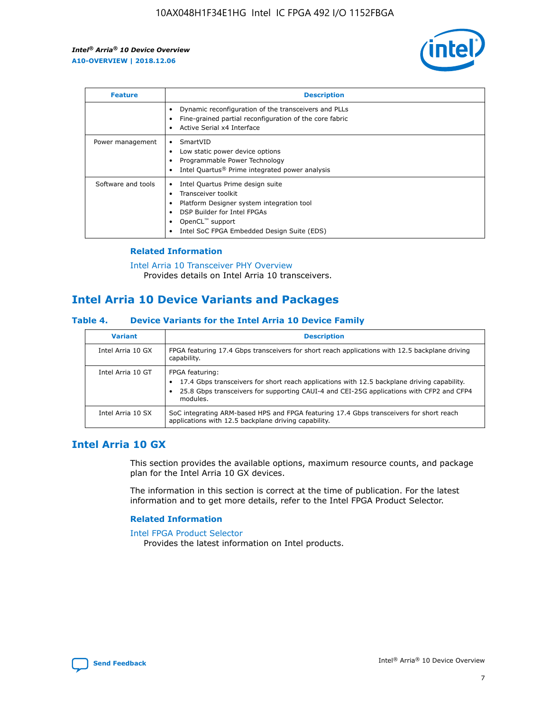

| <b>Feature</b>     | <b>Description</b>                                                                                                                                                                                               |
|--------------------|------------------------------------------------------------------------------------------------------------------------------------------------------------------------------------------------------------------|
|                    | Dynamic reconfiguration of the transceivers and PLLs<br>Fine-grained partial reconfiguration of the core fabric<br>Active Serial x4 Interface<br>$\bullet$                                                       |
| Power management   | SmartVID<br>Low static power device options<br>Programmable Power Technology<br>Intel Quartus <sup>®</sup> Prime integrated power analysis                                                                       |
| Software and tools | Intel Quartus Prime design suite<br>Transceiver toolkit<br>Platform Designer system integration tool<br>DSP Builder for Intel FPGAs<br>OpenCL <sup>™</sup> support<br>Intel SoC FPGA Embedded Design Suite (EDS) |

## **Related Information**

[Intel Arria 10 Transceiver PHY Overview](https://www.intel.com/content/www/us/en/programmable/documentation/nik1398707230472.html#nik1398706768037) Provides details on Intel Arria 10 transceivers.

# **Intel Arria 10 Device Variants and Packages**

#### **Table 4. Device Variants for the Intel Arria 10 Device Family**

| <b>Variant</b>    | <b>Description</b>                                                                                                                                                                                                     |
|-------------------|------------------------------------------------------------------------------------------------------------------------------------------------------------------------------------------------------------------------|
| Intel Arria 10 GX | FPGA featuring 17.4 Gbps transceivers for short reach applications with 12.5 backplane driving<br>capability.                                                                                                          |
| Intel Arria 10 GT | FPGA featuring:<br>17.4 Gbps transceivers for short reach applications with 12.5 backplane driving capability.<br>25.8 Gbps transceivers for supporting CAUI-4 and CEI-25G applications with CFP2 and CFP4<br>modules. |
| Intel Arria 10 SX | SoC integrating ARM-based HPS and FPGA featuring 17.4 Gbps transceivers for short reach<br>applications with 12.5 backplane driving capability.                                                                        |

# **Intel Arria 10 GX**

This section provides the available options, maximum resource counts, and package plan for the Intel Arria 10 GX devices.

The information in this section is correct at the time of publication. For the latest information and to get more details, refer to the Intel FPGA Product Selector.

#### **Related Information**

#### [Intel FPGA Product Selector](http://www.altera.com/products/selector/psg-selector.html) Provides the latest information on Intel products.

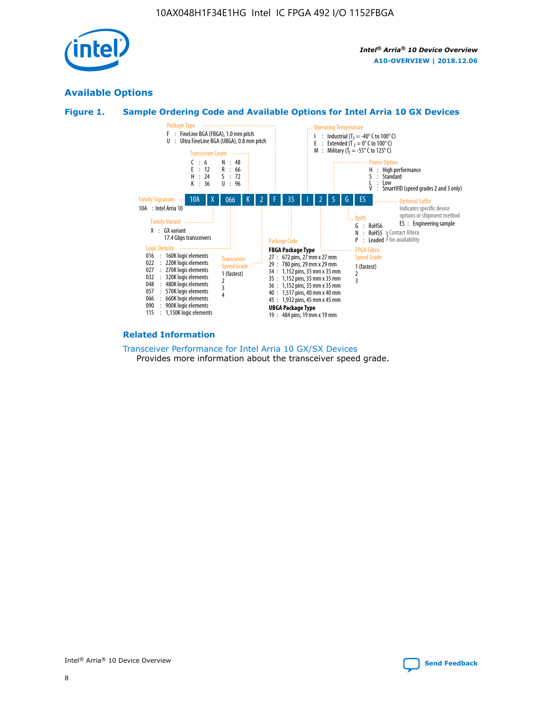

# **Available Options**





#### **Related Information**

[Transceiver Performance for Intel Arria 10 GX/SX Devices](https://www.intel.com/content/www/us/en/programmable/documentation/mcn1413182292568.html#mcn1413213965502) Provides more information about the transceiver speed grade.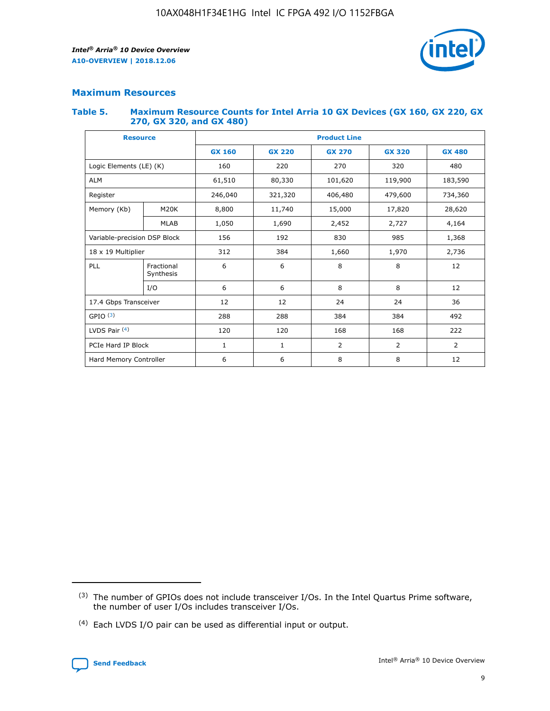

## **Maximum Resources**

#### **Table 5. Maximum Resource Counts for Intel Arria 10 GX Devices (GX 160, GX 220, GX 270, GX 320, and GX 480)**

| <b>Resource</b>              |                         | <b>Product Line</b> |                    |                |                |                |  |  |  |
|------------------------------|-------------------------|---------------------|--------------------|----------------|----------------|----------------|--|--|--|
|                              |                         | <b>GX 160</b>       | <b>GX 220</b>      | <b>GX 270</b>  | <b>GX 320</b>  | <b>GX 480</b>  |  |  |  |
| Logic Elements (LE) (K)      |                         | 160                 | 220                | 270            | 320            | 480            |  |  |  |
| <b>ALM</b>                   |                         | 61,510              | 80,330             | 101,620        | 119,900        | 183,590        |  |  |  |
| Register                     |                         | 246,040             | 406,480<br>321,320 |                | 479,600        | 734,360        |  |  |  |
| Memory (Kb)                  | M <sub>20</sub> K       | 8,800               | 11,740<br>15,000   |                | 17,820         | 28,620         |  |  |  |
| <b>MLAB</b>                  |                         | 1,050               | 1,690              | 2,452          | 2,727          | 4,164          |  |  |  |
| Variable-precision DSP Block |                         | 156                 | 192<br>830<br>985  |                |                | 1,368          |  |  |  |
| 18 x 19 Multiplier           |                         | 312                 | 384                | 1,970<br>1,660 |                | 2,736          |  |  |  |
| PLL                          | Fractional<br>Synthesis | 6                   | 6                  | 8              | 8              | 12             |  |  |  |
|                              | I/O                     | 6                   | 6                  | 8              | 8              | 12             |  |  |  |
| 17.4 Gbps Transceiver        |                         | 12                  | 12                 | 24             | 24             | 36             |  |  |  |
| GPIO <sup>(3)</sup>          |                         | 288                 | 288                | 384<br>384     |                | 492            |  |  |  |
| LVDS Pair $(4)$              |                         | 120                 | 120                | 168            | 168            | 222            |  |  |  |
| PCIe Hard IP Block           |                         | 1                   | 1                  | 2              | $\overline{2}$ | $\overline{2}$ |  |  |  |
| Hard Memory Controller       |                         | 6                   | 6                  | 8              | 8              | 12             |  |  |  |

<sup>(4)</sup> Each LVDS I/O pair can be used as differential input or output.



<sup>(3)</sup> The number of GPIOs does not include transceiver I/Os. In the Intel Quartus Prime software, the number of user I/Os includes transceiver I/Os.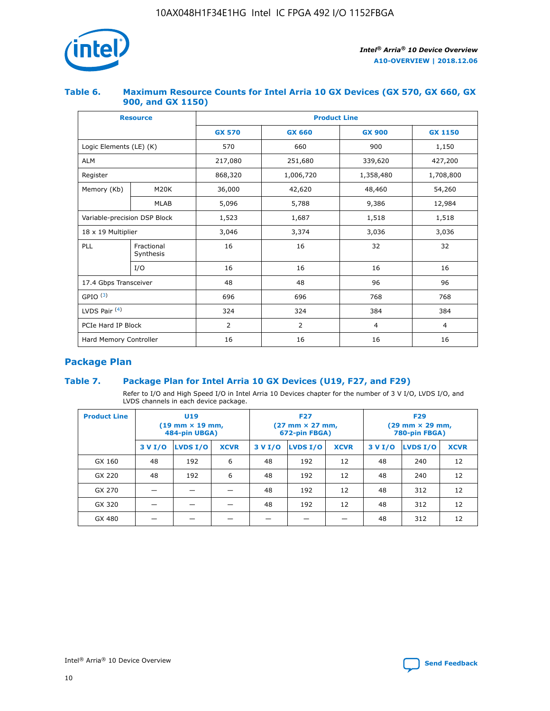

## **Table 6. Maximum Resource Counts for Intel Arria 10 GX Devices (GX 570, GX 660, GX 900, and GX 1150)**

|                              | <b>Resource</b>         | <b>Product Line</b> |                |                |                |  |  |  |
|------------------------------|-------------------------|---------------------|----------------|----------------|----------------|--|--|--|
|                              |                         | <b>GX 570</b>       | <b>GX 660</b>  | <b>GX 900</b>  | <b>GX 1150</b> |  |  |  |
| Logic Elements (LE) (K)      |                         | 570                 | 660            | 900            | 1,150          |  |  |  |
| <b>ALM</b>                   |                         | 217,080             | 251,680        | 339,620        | 427,200        |  |  |  |
| Register                     |                         | 868,320             | 1,006,720      | 1,358,480      | 1,708,800      |  |  |  |
| Memory (Kb)                  | <b>M20K</b>             | 36,000              | 42,620         | 48,460         | 54,260         |  |  |  |
| <b>MLAB</b>                  |                         | 5,096               | 5,788<br>9,386 |                | 12,984         |  |  |  |
| Variable-precision DSP Block |                         | 1,523               | 1,687          | 1,518          | 1,518          |  |  |  |
| $18 \times 19$ Multiplier    |                         | 3,046               | 3,374          | 3,036          | 3,036          |  |  |  |
| PLL                          | Fractional<br>Synthesis | 16                  | 16             | 32             | 32             |  |  |  |
|                              | I/O                     | 16                  | 16             | 16             | 16             |  |  |  |
| 17.4 Gbps Transceiver        |                         | 48                  | 48             |                | 96             |  |  |  |
| GPIO <sup>(3)</sup>          |                         | 696                 | 696            | 768            | 768            |  |  |  |
| LVDS Pair $(4)$              |                         | 324                 | 324            | 384            | 384            |  |  |  |
| PCIe Hard IP Block           |                         | 2                   | $\overline{2}$ | $\overline{4}$ | 4              |  |  |  |
| Hard Memory Controller       |                         | 16                  | 16             | 16             | 16             |  |  |  |

# **Package Plan**

## **Table 7. Package Plan for Intel Arria 10 GX Devices (U19, F27, and F29)**

Refer to I/O and High Speed I/O in Intel Arria 10 Devices chapter for the number of 3 V I/O, LVDS I/O, and LVDS channels in each device package.

| <b>Product Line</b> |         | U <sub>19</sub><br>$(19 \text{ mm} \times 19 \text{ mm})$<br>484-pin UBGA) |             | <b>F27</b><br>(27 mm × 27 mm,<br>672-pin FBGA) |          |             | <b>F29</b><br>(29 mm × 29 mm,<br>780-pin FBGA) |          |             |  |
|---------------------|---------|----------------------------------------------------------------------------|-------------|------------------------------------------------|----------|-------------|------------------------------------------------|----------|-------------|--|
|                     | 3 V I/O | LVDS I/O                                                                   | <b>XCVR</b> | 3 V I/O                                        | LVDS I/O | <b>XCVR</b> | 3 V I/O                                        | LVDS I/O | <b>XCVR</b> |  |
| GX 160              | 48      | 192                                                                        | 6           | 48                                             | 192      | 12          | 48                                             | 240      | 12          |  |
| GX 220              | 48      | 192                                                                        | 6           | 48                                             | 192      | 12          | 48                                             | 240      | 12          |  |
| GX 270              |         |                                                                            |             | 48                                             | 192      | 12          | 48                                             | 312      | 12          |  |
| GX 320              |         |                                                                            |             | 48                                             | 192      | 12          | 48                                             | 312      | 12          |  |
| GX 480              |         |                                                                            |             |                                                |          |             | 48                                             | 312      | 12          |  |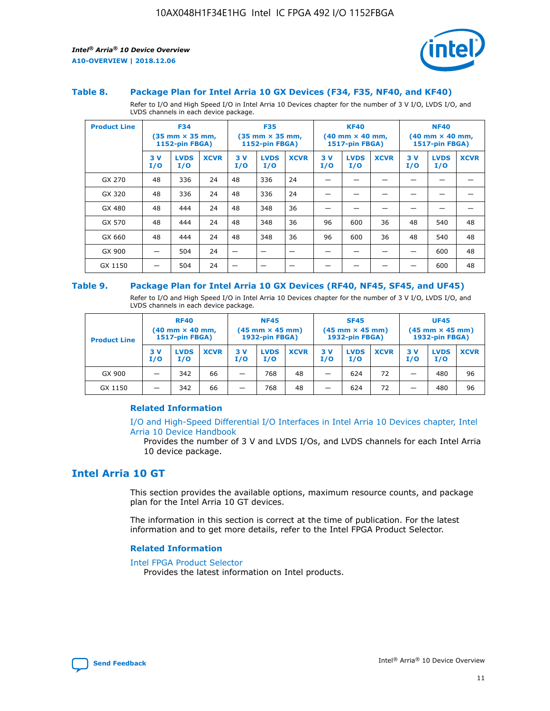

#### **Table 8. Package Plan for Intel Arria 10 GX Devices (F34, F35, NF40, and KF40)**

Refer to I/O and High Speed I/O in Intel Arria 10 Devices chapter for the number of 3 V I/O, LVDS I/O, and LVDS channels in each device package.

| <b>Product Line</b> |           | <b>F34</b><br>$(35 \text{ mm} \times 35 \text{ mm})$<br>1152-pin FBGA) |             | <b>F35</b><br>$(35 \text{ mm} \times 35 \text{ mm})$<br><b>1152-pin FBGA)</b> |                    | <b>KF40</b><br>$(40$ mm $\times$ 40 mm,<br>1517-pin FBGA) |           | <b>NF40</b><br>$(40 \text{ mm} \times 40 \text{ mm})$<br><b>1517-pin FBGA)</b> |             |            |                    |             |
|---------------------|-----------|------------------------------------------------------------------------|-------------|-------------------------------------------------------------------------------|--------------------|-----------------------------------------------------------|-----------|--------------------------------------------------------------------------------|-------------|------------|--------------------|-------------|
|                     | 3V<br>I/O | <b>LVDS</b><br>I/O                                                     | <b>XCVR</b> | 3V<br>I/O                                                                     | <b>LVDS</b><br>I/O | <b>XCVR</b>                                               | 3V<br>I/O | <b>LVDS</b><br>I/O                                                             | <b>XCVR</b> | 3 V<br>I/O | <b>LVDS</b><br>I/O | <b>XCVR</b> |
| GX 270              | 48        | 336                                                                    | 24          | 48                                                                            | 336                | 24                                                        |           |                                                                                |             |            |                    |             |
| GX 320              | 48        | 336                                                                    | 24          | 48                                                                            | 336                | 24                                                        |           |                                                                                |             |            |                    |             |
| GX 480              | 48        | 444                                                                    | 24          | 48                                                                            | 348                | 36                                                        |           |                                                                                |             |            |                    |             |
| GX 570              | 48        | 444                                                                    | 24          | 48                                                                            | 348                | 36                                                        | 96        | 600                                                                            | 36          | 48         | 540                | 48          |
| GX 660              | 48        | 444                                                                    | 24          | 48                                                                            | 348                | 36                                                        | 96        | 600                                                                            | 36          | 48         | 540                | 48          |
| GX 900              |           | 504                                                                    | 24          | –                                                                             |                    |                                                           |           |                                                                                |             |            | 600                | 48          |
| GX 1150             |           | 504                                                                    | 24          |                                                                               |                    |                                                           |           |                                                                                |             |            | 600                | 48          |

#### **Table 9. Package Plan for Intel Arria 10 GX Devices (RF40, NF45, SF45, and UF45)**

Refer to I/O and High Speed I/O in Intel Arria 10 Devices chapter for the number of 3 V I/O, LVDS I/O, and LVDS channels in each device package.

| <b>Product Line</b> | <b>RF40</b><br>$(40 \text{ mm} \times 40 \text{ mm})$<br>1517-pin FBGA) |                    | <b>NF45</b><br>$(45 \text{ mm} \times 45 \text{ mm})$<br><b>1932-pin FBGA)</b> |            |                    | <b>SF45</b><br>$(45 \text{ mm} \times 45 \text{ mm})$<br><b>1932-pin FBGA)</b> |            |                    | <b>UF45</b><br>$(45 \text{ mm} \times 45 \text{ mm})$<br>1932-pin FBGA) |           |                    |             |
|---------------------|-------------------------------------------------------------------------|--------------------|--------------------------------------------------------------------------------|------------|--------------------|--------------------------------------------------------------------------------|------------|--------------------|-------------------------------------------------------------------------|-----------|--------------------|-------------|
|                     | 3V<br>I/O                                                               | <b>LVDS</b><br>I/O | <b>XCVR</b>                                                                    | 3 V<br>I/O | <b>LVDS</b><br>I/O | <b>XCVR</b>                                                                    | 3 V<br>I/O | <b>LVDS</b><br>I/O | <b>XCVR</b>                                                             | 3V<br>I/O | <b>LVDS</b><br>I/O | <b>XCVR</b> |
| GX 900              |                                                                         | 342                | 66                                                                             | _          | 768                | 48                                                                             |            | 624                | 72                                                                      |           | 480                | 96          |
| GX 1150             |                                                                         | 342                | 66                                                                             | -          | 768                | 48                                                                             |            | 624                | 72                                                                      |           | 480                | 96          |

#### **Related Information**

[I/O and High-Speed Differential I/O Interfaces in Intel Arria 10 Devices chapter, Intel](https://www.intel.com/content/www/us/en/programmable/documentation/sam1403482614086.html#sam1403482030321) [Arria 10 Device Handbook](https://www.intel.com/content/www/us/en/programmable/documentation/sam1403482614086.html#sam1403482030321)

Provides the number of 3 V and LVDS I/Os, and LVDS channels for each Intel Arria 10 device package.

# **Intel Arria 10 GT**

This section provides the available options, maximum resource counts, and package plan for the Intel Arria 10 GT devices.

The information in this section is correct at the time of publication. For the latest information and to get more details, refer to the Intel FPGA Product Selector.

#### **Related Information**

#### [Intel FPGA Product Selector](http://www.altera.com/products/selector/psg-selector.html)

Provides the latest information on Intel products.

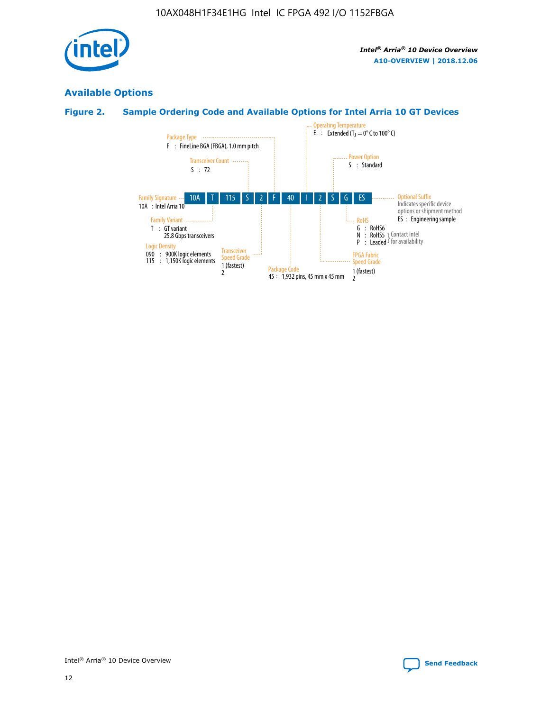

# **Available Options**

# **Figure 2. Sample Ordering Code and Available Options for Intel Arria 10 GT Devices**

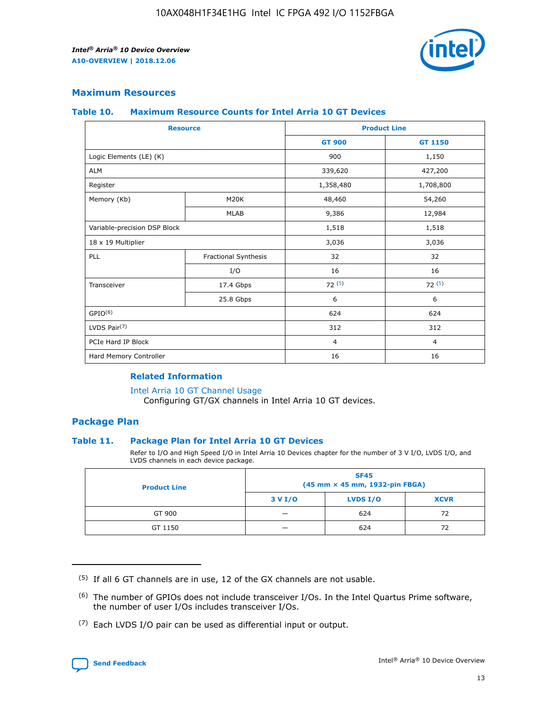

## **Maximum Resources**

#### **Table 10. Maximum Resource Counts for Intel Arria 10 GT Devices**

| <b>Resource</b>              |                      | <b>Product Line</b> |                |  |
|------------------------------|----------------------|---------------------|----------------|--|
|                              |                      | <b>GT 900</b>       | <b>GT 1150</b> |  |
| Logic Elements (LE) (K)      |                      | 900                 | 1,150          |  |
| <b>ALM</b>                   |                      | 339,620             | 427,200        |  |
| Register                     |                      | 1,358,480           | 1,708,800      |  |
| Memory (Kb)                  | M20K                 | 48,460              | 54,260         |  |
|                              | <b>MLAB</b>          | 9,386               | 12,984         |  |
| Variable-precision DSP Block |                      | 1,518               | 1,518          |  |
| 18 x 19 Multiplier           |                      | 3,036               | 3,036          |  |
| PLL                          | Fractional Synthesis | 32                  | 32             |  |
|                              | I/O                  | 16                  | 16             |  |
| Transceiver                  | 17.4 Gbps            | 72(5)               | 72(5)          |  |
|                              | 25.8 Gbps            | 6                   | 6              |  |
| GPIO <sup>(6)</sup>          |                      | 624                 | 624            |  |
| LVDS Pair $(7)$              |                      | 312                 | 312            |  |
| PCIe Hard IP Block           |                      | $\overline{4}$      | $\overline{4}$ |  |
| Hard Memory Controller       |                      | 16                  | 16             |  |

#### **Related Information**

#### [Intel Arria 10 GT Channel Usage](https://www.intel.com/content/www/us/en/programmable/documentation/nik1398707230472.html#nik1398707008178)

Configuring GT/GX channels in Intel Arria 10 GT devices.

## **Package Plan**

#### **Table 11. Package Plan for Intel Arria 10 GT Devices**

Refer to I/O and High Speed I/O in Intel Arria 10 Devices chapter for the number of 3 V I/O, LVDS I/O, and LVDS channels in each device package.

| <b>Product Line</b> | <b>SF45</b><br>(45 mm × 45 mm, 1932-pin FBGA) |                 |             |  |  |  |
|---------------------|-----------------------------------------------|-----------------|-------------|--|--|--|
|                     | 3 V I/O                                       | <b>LVDS I/O</b> | <b>XCVR</b> |  |  |  |
| GT 900              |                                               | 624             | 72          |  |  |  |
| GT 1150             |                                               | 624             | 72          |  |  |  |

<sup>(7)</sup> Each LVDS I/O pair can be used as differential input or output.



 $(5)$  If all 6 GT channels are in use, 12 of the GX channels are not usable.

<sup>(6)</sup> The number of GPIOs does not include transceiver I/Os. In the Intel Quartus Prime software, the number of user I/Os includes transceiver I/Os.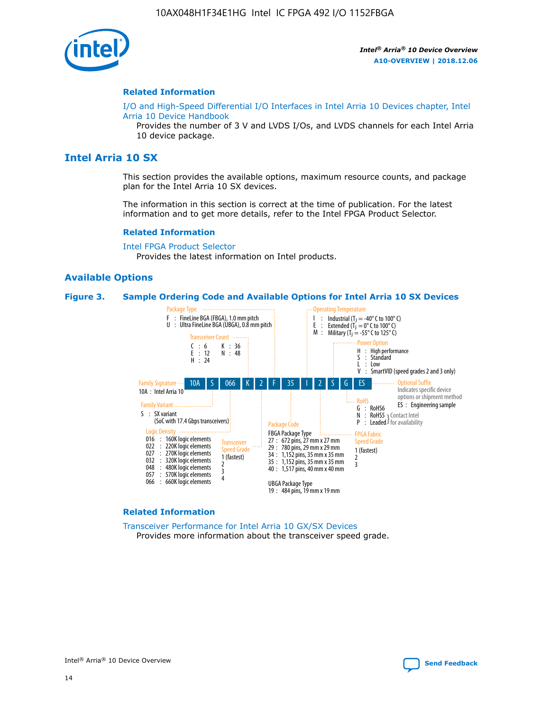

#### **Related Information**

[I/O and High-Speed Differential I/O Interfaces in Intel Arria 10 Devices chapter, Intel](https://www.intel.com/content/www/us/en/programmable/documentation/sam1403482614086.html#sam1403482030321) [Arria 10 Device Handbook](https://www.intel.com/content/www/us/en/programmable/documentation/sam1403482614086.html#sam1403482030321)

Provides the number of 3 V and LVDS I/Os, and LVDS channels for each Intel Arria 10 device package.

# **Intel Arria 10 SX**

This section provides the available options, maximum resource counts, and package plan for the Intel Arria 10 SX devices.

The information in this section is correct at the time of publication. For the latest information and to get more details, refer to the Intel FPGA Product Selector.

#### **Related Information**

[Intel FPGA Product Selector](http://www.altera.com/products/selector/psg-selector.html) Provides the latest information on Intel products.

#### **Available Options**

#### **Figure 3. Sample Ordering Code and Available Options for Intel Arria 10 SX Devices**



#### **Related Information**

[Transceiver Performance for Intel Arria 10 GX/SX Devices](https://www.intel.com/content/www/us/en/programmable/documentation/mcn1413182292568.html#mcn1413213965502) Provides more information about the transceiver speed grade.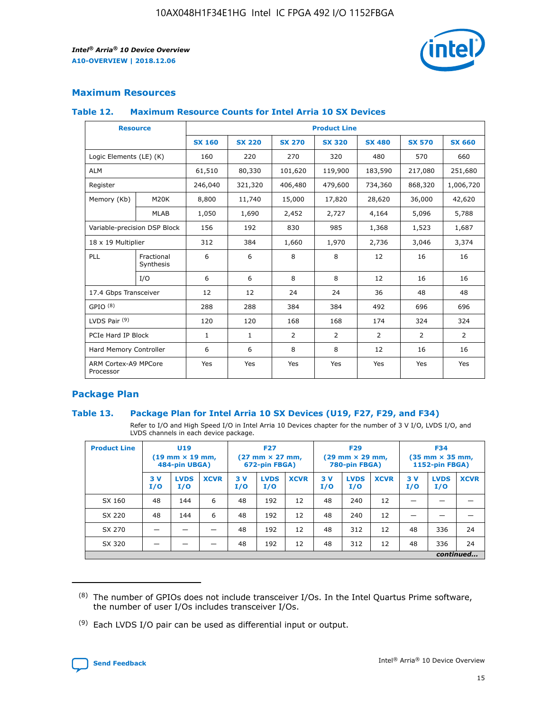

## **Maximum Resources**

#### **Table 12. Maximum Resource Counts for Intel Arria 10 SX Devices**

| <b>Resource</b>                   |                         |               |               |               | <b>Product Line</b> |               |               |               |
|-----------------------------------|-------------------------|---------------|---------------|---------------|---------------------|---------------|---------------|---------------|
|                                   |                         | <b>SX 160</b> | <b>SX 220</b> | <b>SX 270</b> | <b>SX 320</b>       | <b>SX 480</b> | <b>SX 570</b> | <b>SX 660</b> |
| Logic Elements (LE) (K)           |                         | 160           | 220           | 270           | 320                 | 480           | 570           | 660           |
| <b>ALM</b>                        |                         | 61,510        | 80,330        | 101,620       | 119,900             | 183,590       | 217,080       | 251,680       |
| Register                          |                         | 246,040       | 321,320       | 406,480       | 479,600             | 734,360       | 868,320       | 1,006,720     |
| Memory (Kb)                       | M20K                    | 8,800         | 11,740        | 15,000        | 17,820              | 28,620        | 36,000        | 42,620        |
|                                   | <b>MLAB</b>             | 1,050         | 1,690         | 2,452         | 2,727               | 4,164         | 5,096         | 5,788         |
| Variable-precision DSP Block      |                         | 156           | 192           | 830           | 985                 | 1,368         | 1,523         | 1,687         |
| 18 x 19 Multiplier                |                         | 312           | 384           | 1,660         | 1,970               | 2,736         | 3,046         | 3,374         |
| PLL                               | Fractional<br>Synthesis | 6             | 6             | 8             | 8                   | 12            | 16            | 16            |
|                                   | I/O                     | 6             | 6             | 8             | 8                   | 12            | 16            | 16            |
| 17.4 Gbps Transceiver             |                         | 12            | 12            | 24            | 24                  | 36            | 48            | 48            |
| GPIO <sup>(8)</sup>               |                         | 288           | 288           | 384           | 384                 | 492           | 696           | 696           |
| LVDS Pair $(9)$                   |                         | 120           | 120           | 168           | 168                 | 174           | 324           | 324           |
|                                   | PCIe Hard IP Block      |               | $\mathbf{1}$  | 2             | $\overline{2}$      | 2             | 2             | 2             |
| Hard Memory Controller            |                         | 6             | 6             | 8             | 8                   | 12            | 16            | 16            |
| ARM Cortex-A9 MPCore<br>Processor |                         | Yes           | Yes           | Yes           | Yes                 | Yes           | Yes           | Yes           |

## **Package Plan**

#### **Table 13. Package Plan for Intel Arria 10 SX Devices (U19, F27, F29, and F34)**

Refer to I/O and High Speed I/O in Intel Arria 10 Devices chapter for the number of 3 V I/O, LVDS I/O, and LVDS channels in each device package.

| <b>Product Line</b> | U19<br>$(19 \text{ mm} \times 19 \text{ mm})$ .<br>484-pin UBGA) |                    |             | <b>F27</b><br>$(27 \text{ mm} \times 27 \text{ mm})$<br>672-pin FBGA) |                    | <b>F29</b><br>$(29 \text{ mm} \times 29 \text{ mm})$<br>780-pin FBGA) |           |                    | <b>F34</b><br>$(35 \text{ mm} \times 35 \text{ mm})$<br><b>1152-pin FBGA)</b> |           |                    |             |
|---------------------|------------------------------------------------------------------|--------------------|-------------|-----------------------------------------------------------------------|--------------------|-----------------------------------------------------------------------|-----------|--------------------|-------------------------------------------------------------------------------|-----------|--------------------|-------------|
|                     | 3V<br>I/O                                                        | <b>LVDS</b><br>I/O | <b>XCVR</b> | 3V<br>I/O                                                             | <b>LVDS</b><br>I/O | <b>XCVR</b>                                                           | 3V<br>I/O | <b>LVDS</b><br>I/O | <b>XCVR</b>                                                                   | 3V<br>I/O | <b>LVDS</b><br>I/O | <b>XCVR</b> |
| SX 160              | 48                                                               | 144                | 6           | 48                                                                    | 192                | 12                                                                    | 48        | 240                | 12                                                                            |           |                    |             |
| SX 220              | 48                                                               | 144                | 6           | 48                                                                    | 192                | 12                                                                    | 48        | 240                | 12                                                                            |           |                    |             |
| SX 270              |                                                                  |                    |             | 48                                                                    | 192                | 12                                                                    | 48        | 312                | 12                                                                            | 48        | 336                | 24          |
| SX 320              |                                                                  |                    |             | 48                                                                    | 192                | 12                                                                    | 48        | 312                | 12                                                                            | 48        | 336                | 24          |
|                     |                                                                  |                    |             |                                                                       |                    |                                                                       |           |                    |                                                                               |           |                    | continued   |

 $(8)$  The number of GPIOs does not include transceiver I/Os. In the Intel Quartus Prime software, the number of user I/Os includes transceiver I/Os.

 $(9)$  Each LVDS I/O pair can be used as differential input or output.

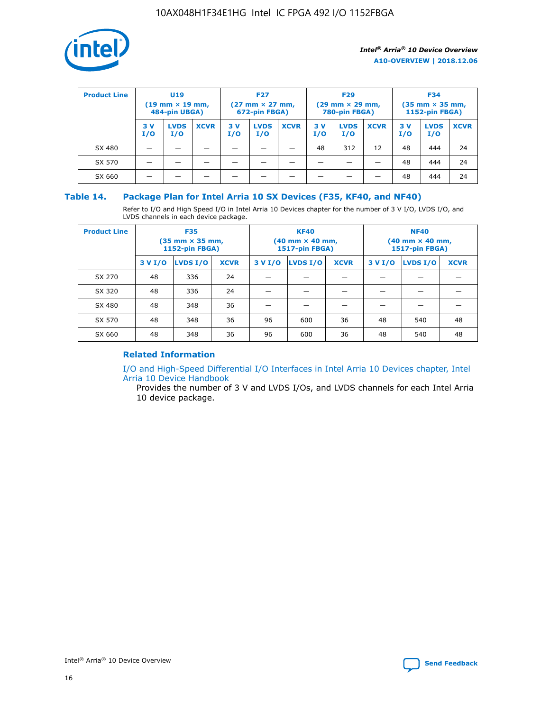

| <b>Product Line</b> | U <sub>19</sub><br>$(19 \text{ mm} \times 19 \text{ mm})$<br>484-pin UBGA) |                    | <b>F27</b><br>$(27 \text{ mm} \times 27 \text{ mm})$<br>672-pin FBGA) |           | <b>F29</b><br>$(29 \text{ mm} \times 29 \text{ mm})$<br>780-pin FBGA) |             |           | <b>F34</b><br>$(35 \text{ mm} \times 35 \text{ mm})$<br><b>1152-pin FBGA)</b> |             |           |                    |             |
|---------------------|----------------------------------------------------------------------------|--------------------|-----------------------------------------------------------------------|-----------|-----------------------------------------------------------------------|-------------|-----------|-------------------------------------------------------------------------------|-------------|-----------|--------------------|-------------|
|                     | 3 V<br>I/O                                                                 | <b>LVDS</b><br>I/O | <b>XCVR</b>                                                           | 3V<br>I/O | <b>LVDS</b><br>I/O                                                    | <b>XCVR</b> | 3V<br>I/O | <b>LVDS</b><br>I/O                                                            | <b>XCVR</b> | 3V<br>I/O | <b>LVDS</b><br>I/O | <b>XCVR</b> |
| SX 480              |                                                                            |                    |                                                                       |           |                                                                       |             | 48        | 312                                                                           | 12          | 48        | 444                | 24          |
| SX 570              |                                                                            |                    |                                                                       |           |                                                                       |             |           |                                                                               |             | 48        | 444                | 24          |
| SX 660              |                                                                            |                    |                                                                       |           |                                                                       |             |           |                                                                               |             | 48        | 444                | 24          |

## **Table 14. Package Plan for Intel Arria 10 SX Devices (F35, KF40, and NF40)**

Refer to I/O and High Speed I/O in Intel Arria 10 Devices chapter for the number of 3 V I/O, LVDS I/O, and LVDS channels in each device package.

| <b>Product Line</b> | <b>F35</b><br>(35 mm × 35 mm,<br><b>1152-pin FBGA)</b> |          |             |                                           | <b>KF40</b><br>(40 mm × 40 mm,<br>1517-pin FBGA) |    | <b>NF40</b><br>$(40 \text{ mm} \times 40 \text{ mm})$<br>1517-pin FBGA) |          |             |  |
|---------------------|--------------------------------------------------------|----------|-------------|-------------------------------------------|--------------------------------------------------|----|-------------------------------------------------------------------------|----------|-------------|--|
|                     | 3 V I/O                                                | LVDS I/O | <b>XCVR</b> | <b>LVDS I/O</b><br>3 V I/O<br><b>XCVR</b> |                                                  |    | 3 V I/O                                                                 | LVDS I/O | <b>XCVR</b> |  |
| SX 270              | 48                                                     | 336      | 24          |                                           |                                                  |    |                                                                         |          |             |  |
| SX 320              | 48                                                     | 336      | 24          |                                           |                                                  |    |                                                                         |          |             |  |
| SX 480              | 48                                                     | 348      | 36          |                                           |                                                  |    |                                                                         |          |             |  |
| SX 570              | 48                                                     | 348      | 36          | 96                                        | 600                                              | 36 | 48                                                                      | 540      | 48          |  |
| SX 660              | 48                                                     | 348      | 36          | 96                                        | 600                                              | 36 | 48                                                                      | 540      | 48          |  |

# **Related Information**

[I/O and High-Speed Differential I/O Interfaces in Intel Arria 10 Devices chapter, Intel](https://www.intel.com/content/www/us/en/programmable/documentation/sam1403482614086.html#sam1403482030321) [Arria 10 Device Handbook](https://www.intel.com/content/www/us/en/programmable/documentation/sam1403482614086.html#sam1403482030321)

Provides the number of 3 V and LVDS I/Os, and LVDS channels for each Intel Arria 10 device package.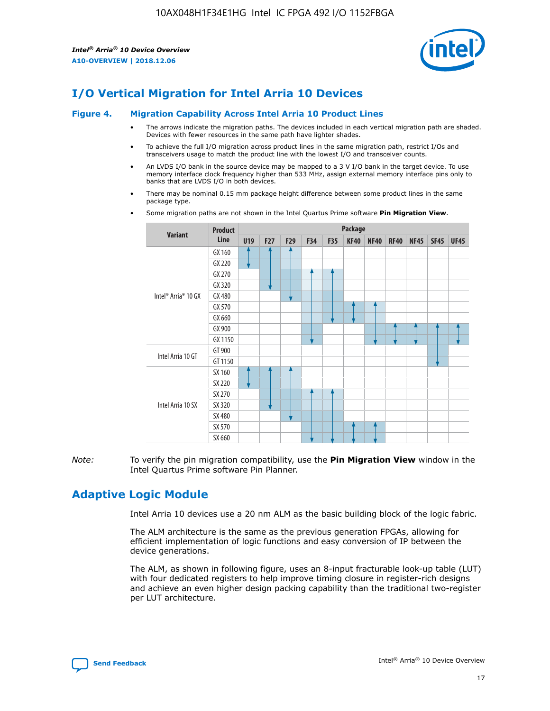

# **I/O Vertical Migration for Intel Arria 10 Devices**

#### **Figure 4. Migration Capability Across Intel Arria 10 Product Lines**

- The arrows indicate the migration paths. The devices included in each vertical migration path are shaded. Devices with fewer resources in the same path have lighter shades.
- To achieve the full I/O migration across product lines in the same migration path, restrict I/Os and transceivers usage to match the product line with the lowest I/O and transceiver counts.
- An LVDS I/O bank in the source device may be mapped to a 3 V I/O bank in the target device. To use memory interface clock frequency higher than 533 MHz, assign external memory interface pins only to banks that are LVDS I/O in both devices.
- There may be nominal 0.15 mm package height difference between some product lines in the same package type.
	- **Variant Product Line Package U19 F27 F29 F34 F35 KF40 NF40 RF40 NF45 SF45 UF45** Intel® Arria® 10 GX GX 160 GX 220 GX 270 GX 320 GX 480 GX 570 GX 660 GX 900 GX 1150 Intel Arria 10 GT GT 900 GT 1150 Intel Arria 10 SX SX 160 SX 220 SX 270 SX 320 SX 480 SX 570 SX 660
- Some migration paths are not shown in the Intel Quartus Prime software **Pin Migration View**.

*Note:* To verify the pin migration compatibility, use the **Pin Migration View** window in the Intel Quartus Prime software Pin Planner.

# **Adaptive Logic Module**

Intel Arria 10 devices use a 20 nm ALM as the basic building block of the logic fabric.

The ALM architecture is the same as the previous generation FPGAs, allowing for efficient implementation of logic functions and easy conversion of IP between the device generations.

The ALM, as shown in following figure, uses an 8-input fracturable look-up table (LUT) with four dedicated registers to help improve timing closure in register-rich designs and achieve an even higher design packing capability than the traditional two-register per LUT architecture.

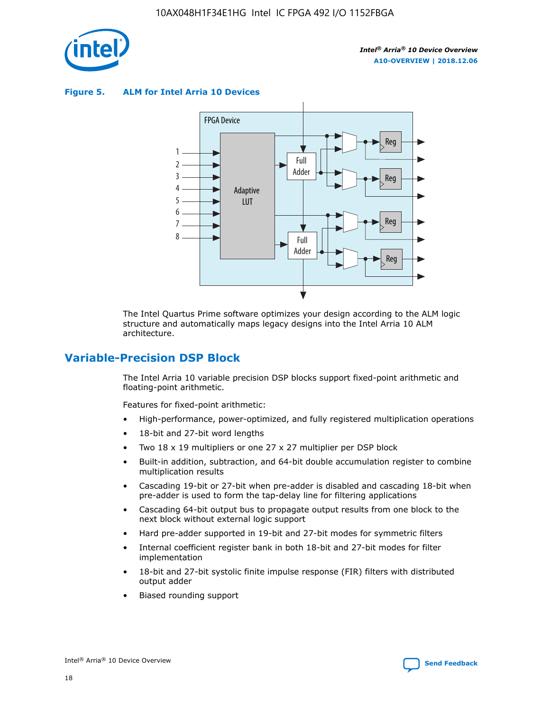

**Figure 5. ALM for Intel Arria 10 Devices**



The Intel Quartus Prime software optimizes your design according to the ALM logic structure and automatically maps legacy designs into the Intel Arria 10 ALM architecture.

# **Variable-Precision DSP Block**

The Intel Arria 10 variable precision DSP blocks support fixed-point arithmetic and floating-point arithmetic.

Features for fixed-point arithmetic:

- High-performance, power-optimized, and fully registered multiplication operations
- 18-bit and 27-bit word lengths
- Two 18 x 19 multipliers or one 27 x 27 multiplier per DSP block
- Built-in addition, subtraction, and 64-bit double accumulation register to combine multiplication results
- Cascading 19-bit or 27-bit when pre-adder is disabled and cascading 18-bit when pre-adder is used to form the tap-delay line for filtering applications
- Cascading 64-bit output bus to propagate output results from one block to the next block without external logic support
- Hard pre-adder supported in 19-bit and 27-bit modes for symmetric filters
- Internal coefficient register bank in both 18-bit and 27-bit modes for filter implementation
- 18-bit and 27-bit systolic finite impulse response (FIR) filters with distributed output adder
- Biased rounding support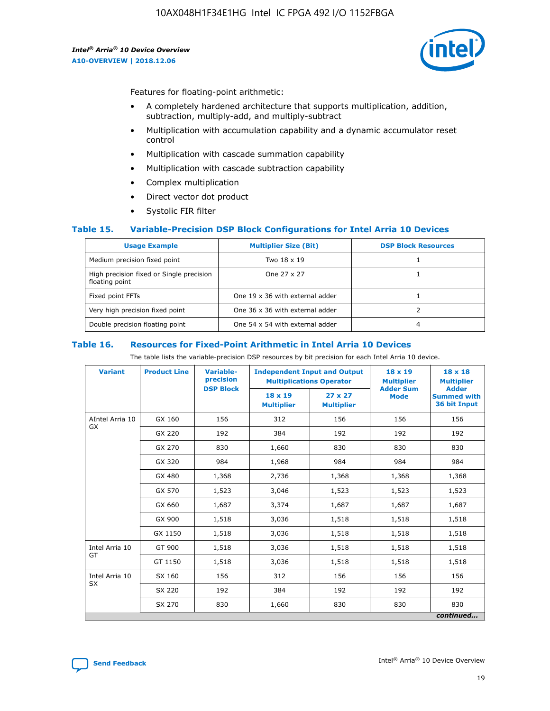

Features for floating-point arithmetic:

- A completely hardened architecture that supports multiplication, addition, subtraction, multiply-add, and multiply-subtract
- Multiplication with accumulation capability and a dynamic accumulator reset control
- Multiplication with cascade summation capability
- Multiplication with cascade subtraction capability
- Complex multiplication
- Direct vector dot product
- Systolic FIR filter

#### **Table 15. Variable-Precision DSP Block Configurations for Intel Arria 10 Devices**

| <b>Usage Example</b>                                       | <b>Multiplier Size (Bit)</b>    | <b>DSP Block Resources</b> |
|------------------------------------------------------------|---------------------------------|----------------------------|
| Medium precision fixed point                               | Two 18 x 19                     |                            |
| High precision fixed or Single precision<br>floating point | One 27 x 27                     |                            |
| Fixed point FFTs                                           | One 19 x 36 with external adder |                            |
| Very high precision fixed point                            | One 36 x 36 with external adder |                            |
| Double precision floating point                            | One 54 x 54 with external adder | 4                          |

#### **Table 16. Resources for Fixed-Point Arithmetic in Intel Arria 10 Devices**

The table lists the variable-precision DSP resources by bit precision for each Intel Arria 10 device.

| <b>Variant</b>  | <b>Product Line</b> | Variable-<br>precision<br><b>DSP Block</b> | <b>Independent Input and Output</b><br><b>Multiplications Operator</b> |                                     | 18 x 19<br><b>Multiplier</b><br><b>Adder Sum</b> | $18 \times 18$<br><b>Multiplier</b><br><b>Adder</b> |
|-----------------|---------------------|--------------------------------------------|------------------------------------------------------------------------|-------------------------------------|--------------------------------------------------|-----------------------------------------------------|
|                 |                     |                                            | 18 x 19<br><b>Multiplier</b>                                           | $27 \times 27$<br><b>Multiplier</b> | <b>Mode</b>                                      | <b>Summed with</b><br>36 bit Input                  |
| AIntel Arria 10 | GX 160              | 156                                        | 312                                                                    | 156                                 | 156                                              | 156                                                 |
| GX              | GX 220              | 192                                        | 384                                                                    | 192                                 | 192                                              | 192                                                 |
|                 | GX 270              | 830                                        | 1,660                                                                  | 830                                 | 830                                              | 830                                                 |
|                 | GX 320              | 984                                        | 1,968                                                                  | 984                                 | 984                                              | 984                                                 |
|                 | GX 480              | 1,368                                      | 2,736                                                                  | 1,368                               | 1,368                                            | 1,368                                               |
|                 | GX 570              | 1,523                                      | 3,046                                                                  | 1,523                               | 1,523                                            | 1,523                                               |
|                 | GX 660              | 1,687                                      | 3,374                                                                  | 1,687                               | 1,687                                            | 1,687                                               |
|                 | GX 900              | 1,518                                      | 3,036                                                                  | 1,518                               | 1,518                                            | 1,518                                               |
|                 | GX 1150             | 1,518                                      | 3,036                                                                  | 1,518                               | 1,518                                            | 1,518                                               |
| Intel Arria 10  | GT 900              | 1,518                                      | 3,036                                                                  | 1,518                               | 1,518                                            | 1,518                                               |
| GT              | GT 1150             | 1,518                                      | 3,036                                                                  | 1,518                               | 1,518                                            | 1,518                                               |
| Intel Arria 10  | SX 160              | 156                                        | 312                                                                    | 156                                 | 156                                              | 156                                                 |
| <b>SX</b>       | SX 220              | 192                                        | 384                                                                    | 192                                 | 192                                              | 192                                                 |
|                 | SX 270              | 830                                        | 1,660                                                                  | 830                                 | 830                                              | 830                                                 |
|                 |                     |                                            |                                                                        |                                     |                                                  | continued                                           |

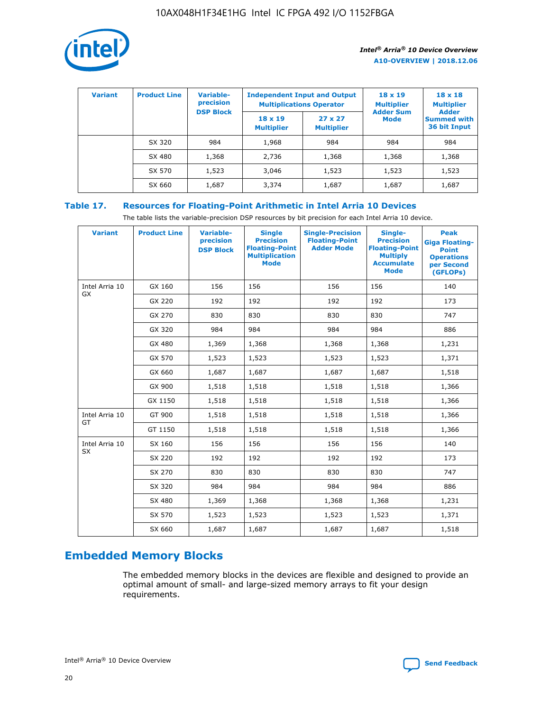

| <b>Variant</b> | <b>Product Line</b> | <b>Variable-</b><br>precision<br><b>DSP Block</b> | <b>Independent Input and Output</b><br><b>Multiplications Operator</b> |                                     | $18 \times 19$<br><b>Multiplier</b><br><b>Adder Sum</b> | $18 \times 18$<br><b>Multiplier</b><br><b>Adder</b> |  |
|----------------|---------------------|---------------------------------------------------|------------------------------------------------------------------------|-------------------------------------|---------------------------------------------------------|-----------------------------------------------------|--|
|                |                     |                                                   | $18 \times 19$<br><b>Multiplier</b>                                    | $27 \times 27$<br><b>Multiplier</b> | <b>Mode</b>                                             | <b>Summed with</b><br>36 bit Input                  |  |
|                | SX 320              | 984                                               | 1,968                                                                  | 984                                 | 984                                                     | 984                                                 |  |
|                | SX 480              | 1,368                                             | 2,736                                                                  | 1,368                               | 1,368                                                   | 1,368                                               |  |
|                | SX 570              | 1,523                                             | 3,046                                                                  | 1,523                               | 1,523                                                   | 1,523                                               |  |
|                | SX 660              | 1,687                                             | 3,374                                                                  | 1,687                               | 1,687                                                   | 1,687                                               |  |

# **Table 17. Resources for Floating-Point Arithmetic in Intel Arria 10 Devices**

The table lists the variable-precision DSP resources by bit precision for each Intel Arria 10 device.

| <b>Variant</b> | <b>Product Line</b> | <b>Variable-</b><br>precision<br><b>DSP Block</b> | <b>Single</b><br><b>Precision</b><br><b>Floating-Point</b><br><b>Multiplication</b><br><b>Mode</b> | <b>Single-Precision</b><br><b>Floating-Point</b><br><b>Adder Mode</b> | Single-<br><b>Precision</b><br><b>Floating-Point</b><br><b>Multiply</b><br><b>Accumulate</b><br><b>Mode</b> | <b>Peak</b><br><b>Giga Floating-</b><br><b>Point</b><br><b>Operations</b><br>per Second<br>(GFLOPs) |
|----------------|---------------------|---------------------------------------------------|----------------------------------------------------------------------------------------------------|-----------------------------------------------------------------------|-------------------------------------------------------------------------------------------------------------|-----------------------------------------------------------------------------------------------------|
| Intel Arria 10 | GX 160              | 156                                               | 156                                                                                                | 156                                                                   | 156                                                                                                         | 140                                                                                                 |
| GX             | GX 220              | 192                                               | 192                                                                                                | 192                                                                   | 192                                                                                                         | 173                                                                                                 |
|                | GX 270              | 830                                               | 830                                                                                                | 830                                                                   | 830                                                                                                         | 747                                                                                                 |
|                | GX 320              | 984                                               | 984                                                                                                | 984                                                                   | 984                                                                                                         | 886                                                                                                 |
|                | GX 480              | 1,369                                             | 1,368                                                                                              | 1,368                                                                 | 1,368                                                                                                       | 1,231                                                                                               |
|                | GX 570              | 1,523                                             | 1,523                                                                                              | 1,523                                                                 | 1,523                                                                                                       | 1,371                                                                                               |
|                | GX 660              | 1,687                                             | 1,687                                                                                              | 1,687                                                                 | 1,687                                                                                                       | 1,518                                                                                               |
|                | GX 900              | 1,518                                             | 1,518                                                                                              | 1,518                                                                 | 1,518                                                                                                       | 1,366                                                                                               |
|                | GX 1150             | 1,518                                             | 1,518                                                                                              | 1,518                                                                 | 1,518                                                                                                       | 1,366                                                                                               |
| Intel Arria 10 | GT 900              | 1,518                                             | 1,518                                                                                              | 1,518                                                                 | 1,518                                                                                                       | 1,366                                                                                               |
| GT             | GT 1150             | 1,518                                             | 1,518                                                                                              | 1,518                                                                 | 1,518                                                                                                       | 1,366                                                                                               |
| Intel Arria 10 | SX 160              | 156                                               | 156                                                                                                | 156                                                                   | 156                                                                                                         | 140                                                                                                 |
| <b>SX</b>      | SX 220              | 192                                               | 192                                                                                                | 192                                                                   | 192                                                                                                         | 173                                                                                                 |
|                | SX 270              | 830                                               | 830                                                                                                | 830                                                                   | 830                                                                                                         | 747                                                                                                 |
|                | SX 320              | 984                                               | 984                                                                                                | 984                                                                   | 984                                                                                                         | 886                                                                                                 |
|                | SX 480              | 1,369                                             | 1,368                                                                                              | 1,368                                                                 | 1,368                                                                                                       | 1,231                                                                                               |
|                | SX 570              | 1,523                                             | 1,523                                                                                              | 1,523                                                                 | 1,523                                                                                                       | 1,371                                                                                               |
|                | SX 660              | 1,687                                             | 1,687                                                                                              | 1,687                                                                 | 1,687                                                                                                       | 1,518                                                                                               |

# **Embedded Memory Blocks**

The embedded memory blocks in the devices are flexible and designed to provide an optimal amount of small- and large-sized memory arrays to fit your design requirements.

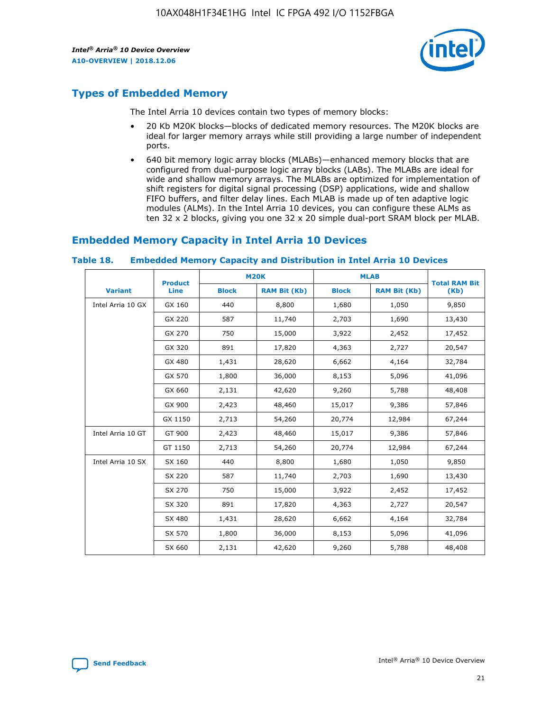

# **Types of Embedded Memory**

The Intel Arria 10 devices contain two types of memory blocks:

- 20 Kb M20K blocks—blocks of dedicated memory resources. The M20K blocks are ideal for larger memory arrays while still providing a large number of independent ports.
- 640 bit memory logic array blocks (MLABs)—enhanced memory blocks that are configured from dual-purpose logic array blocks (LABs). The MLABs are ideal for wide and shallow memory arrays. The MLABs are optimized for implementation of shift registers for digital signal processing (DSP) applications, wide and shallow FIFO buffers, and filter delay lines. Each MLAB is made up of ten adaptive logic modules (ALMs). In the Intel Arria 10 devices, you can configure these ALMs as ten 32 x 2 blocks, giving you one 32 x 20 simple dual-port SRAM block per MLAB.

# **Embedded Memory Capacity in Intel Arria 10 Devices**

|                   | <b>Product</b> |              | <b>M20K</b>         | <b>MLAB</b>  |                     | <b>Total RAM Bit</b> |
|-------------------|----------------|--------------|---------------------|--------------|---------------------|----------------------|
| <b>Variant</b>    | Line           | <b>Block</b> | <b>RAM Bit (Kb)</b> | <b>Block</b> | <b>RAM Bit (Kb)</b> | (Kb)                 |
| Intel Arria 10 GX | GX 160         | 440          | 8,800               | 1,680        | 1,050               | 9,850                |
|                   | GX 220         | 587          | 11,740              | 2,703        | 1,690               | 13,430               |
|                   | GX 270         | 750          | 15,000              | 3,922        | 2,452               | 17,452               |
|                   | GX 320         | 891          | 17,820              | 4,363        | 2,727               | 20,547               |
|                   | GX 480         | 1,431        | 28,620              | 6,662        | 4,164               | 32,784               |
|                   | GX 570         | 1,800        | 36,000              | 8,153        | 5,096               | 41,096               |
|                   | GX 660         | 2,131        | 42,620              | 9,260        | 5,788               | 48,408               |
|                   | GX 900         | 2,423        | 48,460              | 15,017       | 9,386               | 57,846               |
|                   | GX 1150        | 2,713        | 54,260              | 20,774       | 12,984              | 67,244               |
| Intel Arria 10 GT | GT 900         | 2,423        | 48,460              | 15,017       | 9,386               | 57,846               |
|                   | GT 1150        | 2,713        | 54,260              | 20,774       | 12,984              | 67,244               |
| Intel Arria 10 SX | SX 160         | 440          | 8,800               | 1,680        | 1,050               | 9,850                |
|                   | SX 220         | 587          | 11,740              | 2,703        | 1,690               | 13,430               |
|                   | SX 270         | 750          | 15,000              | 3,922        | 2,452               | 17,452               |
|                   | SX 320         | 891          | 17,820              | 4,363        | 2,727               | 20,547               |
|                   | SX 480         | 1,431        | 28,620              | 6,662        | 4,164               | 32,784               |
|                   | SX 570         | 1,800        | 36,000              | 8,153        | 5,096               | 41,096               |
|                   | SX 660         | 2,131        | 42,620              | 9,260        | 5,788               | 48,408               |

#### **Table 18. Embedded Memory Capacity and Distribution in Intel Arria 10 Devices**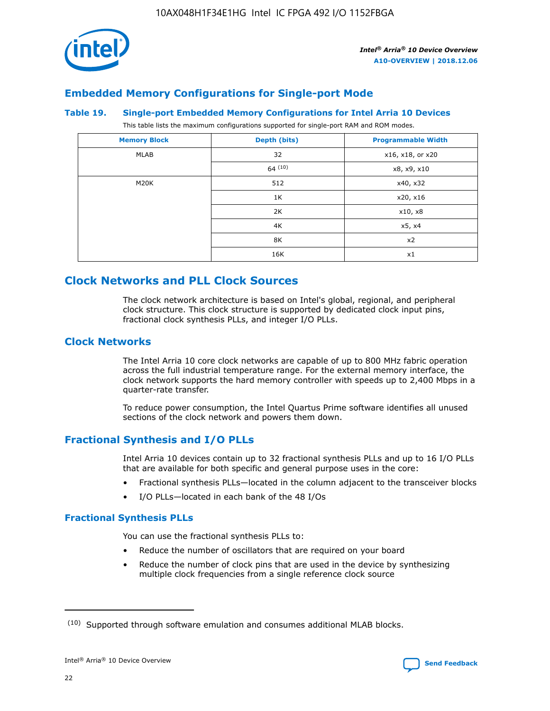

# **Embedded Memory Configurations for Single-port Mode**

#### **Table 19. Single-port Embedded Memory Configurations for Intel Arria 10 Devices**

This table lists the maximum configurations supported for single-port RAM and ROM modes.

| <b>Memory Block</b> | Depth (bits) | <b>Programmable Width</b> |
|---------------------|--------------|---------------------------|
| MLAB                | 32           | x16, x18, or x20          |
|                     | 64(10)       | x8, x9, x10               |
| M20K                | 512          | x40, x32                  |
|                     | 1K           | x20, x16                  |
|                     | 2K           | x10, x8                   |
|                     | 4K           | x5, x4                    |
|                     | 8K           | x2                        |
|                     | 16K          | x1                        |

# **Clock Networks and PLL Clock Sources**

The clock network architecture is based on Intel's global, regional, and peripheral clock structure. This clock structure is supported by dedicated clock input pins, fractional clock synthesis PLLs, and integer I/O PLLs.

# **Clock Networks**

The Intel Arria 10 core clock networks are capable of up to 800 MHz fabric operation across the full industrial temperature range. For the external memory interface, the clock network supports the hard memory controller with speeds up to 2,400 Mbps in a quarter-rate transfer.

To reduce power consumption, the Intel Quartus Prime software identifies all unused sections of the clock network and powers them down.

## **Fractional Synthesis and I/O PLLs**

Intel Arria 10 devices contain up to 32 fractional synthesis PLLs and up to 16 I/O PLLs that are available for both specific and general purpose uses in the core:

- Fractional synthesis PLLs—located in the column adjacent to the transceiver blocks
- I/O PLLs—located in each bank of the 48 I/Os

## **Fractional Synthesis PLLs**

You can use the fractional synthesis PLLs to:

- Reduce the number of oscillators that are required on your board
- Reduce the number of clock pins that are used in the device by synthesizing multiple clock frequencies from a single reference clock source

<sup>(10)</sup> Supported through software emulation and consumes additional MLAB blocks.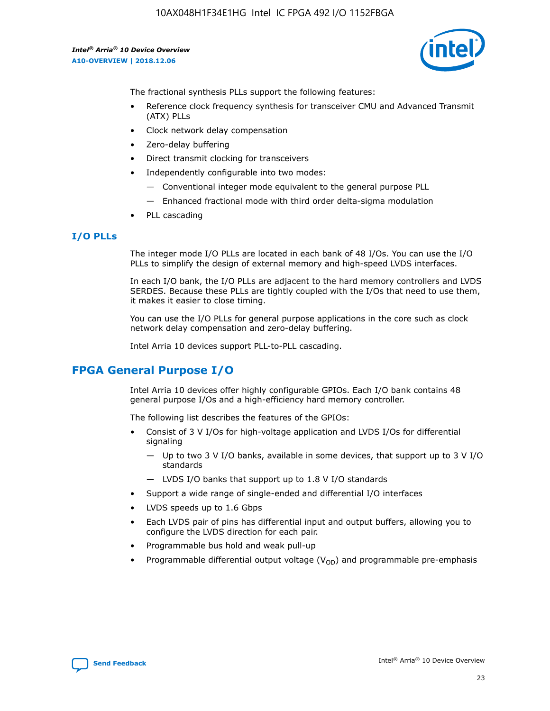

The fractional synthesis PLLs support the following features:

- Reference clock frequency synthesis for transceiver CMU and Advanced Transmit (ATX) PLLs
- Clock network delay compensation
- Zero-delay buffering
- Direct transmit clocking for transceivers
- Independently configurable into two modes:
	- Conventional integer mode equivalent to the general purpose PLL
	- Enhanced fractional mode with third order delta-sigma modulation
- PLL cascading

## **I/O PLLs**

The integer mode I/O PLLs are located in each bank of 48 I/Os. You can use the I/O PLLs to simplify the design of external memory and high-speed LVDS interfaces.

In each I/O bank, the I/O PLLs are adjacent to the hard memory controllers and LVDS SERDES. Because these PLLs are tightly coupled with the I/Os that need to use them, it makes it easier to close timing.

You can use the I/O PLLs for general purpose applications in the core such as clock network delay compensation and zero-delay buffering.

Intel Arria 10 devices support PLL-to-PLL cascading.

# **FPGA General Purpose I/O**

Intel Arria 10 devices offer highly configurable GPIOs. Each I/O bank contains 48 general purpose I/Os and a high-efficiency hard memory controller.

The following list describes the features of the GPIOs:

- Consist of 3 V I/Os for high-voltage application and LVDS I/Os for differential signaling
	- Up to two 3 V I/O banks, available in some devices, that support up to 3 V I/O standards
	- LVDS I/O banks that support up to 1.8 V I/O standards
- Support a wide range of single-ended and differential I/O interfaces
- LVDS speeds up to 1.6 Gbps
- Each LVDS pair of pins has differential input and output buffers, allowing you to configure the LVDS direction for each pair.
- Programmable bus hold and weak pull-up
- Programmable differential output voltage  $(V_{OD})$  and programmable pre-emphasis

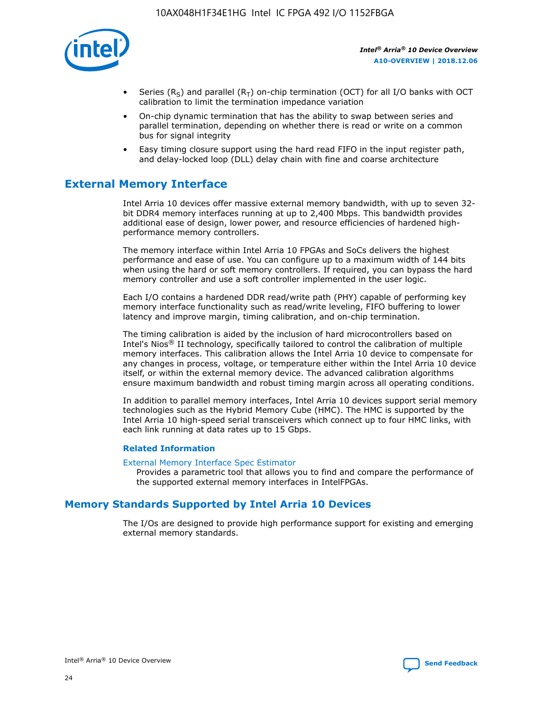

- Series (R<sub>S</sub>) and parallel (R<sub>T</sub>) on-chip termination (OCT) for all I/O banks with OCT calibration to limit the termination impedance variation
- On-chip dynamic termination that has the ability to swap between series and parallel termination, depending on whether there is read or write on a common bus for signal integrity
- Easy timing closure support using the hard read FIFO in the input register path, and delay-locked loop (DLL) delay chain with fine and coarse architecture

# **External Memory Interface**

Intel Arria 10 devices offer massive external memory bandwidth, with up to seven 32 bit DDR4 memory interfaces running at up to 2,400 Mbps. This bandwidth provides additional ease of design, lower power, and resource efficiencies of hardened highperformance memory controllers.

The memory interface within Intel Arria 10 FPGAs and SoCs delivers the highest performance and ease of use. You can configure up to a maximum width of 144 bits when using the hard or soft memory controllers. If required, you can bypass the hard memory controller and use a soft controller implemented in the user logic.

Each I/O contains a hardened DDR read/write path (PHY) capable of performing key memory interface functionality such as read/write leveling, FIFO buffering to lower latency and improve margin, timing calibration, and on-chip termination.

The timing calibration is aided by the inclusion of hard microcontrollers based on Intel's Nios® II technology, specifically tailored to control the calibration of multiple memory interfaces. This calibration allows the Intel Arria 10 device to compensate for any changes in process, voltage, or temperature either within the Intel Arria 10 device itself, or within the external memory device. The advanced calibration algorithms ensure maximum bandwidth and robust timing margin across all operating conditions.

In addition to parallel memory interfaces, Intel Arria 10 devices support serial memory technologies such as the Hybrid Memory Cube (HMC). The HMC is supported by the Intel Arria 10 high-speed serial transceivers which connect up to four HMC links, with each link running at data rates up to 15 Gbps.

#### **Related Information**

#### [External Memory Interface Spec Estimator](http://www.altera.com/technology/memory/estimator/mem-emif-index.html)

Provides a parametric tool that allows you to find and compare the performance of the supported external memory interfaces in IntelFPGAs.

# **Memory Standards Supported by Intel Arria 10 Devices**

The I/Os are designed to provide high performance support for existing and emerging external memory standards.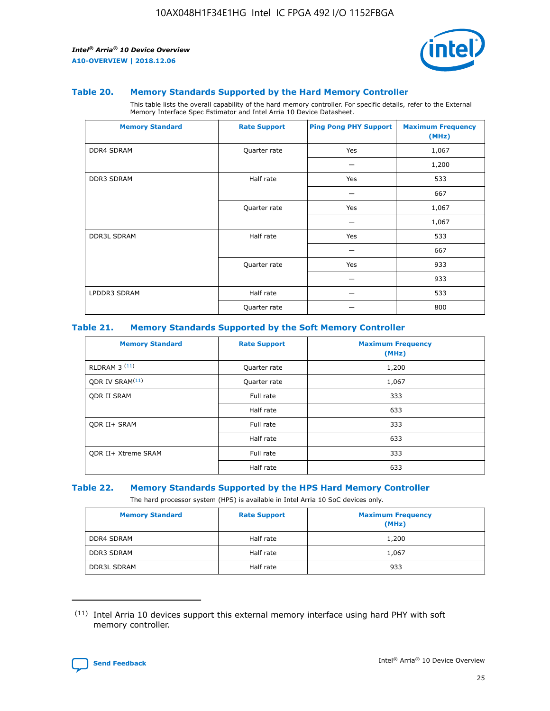

#### **Table 20. Memory Standards Supported by the Hard Memory Controller**

This table lists the overall capability of the hard memory controller. For specific details, refer to the External Memory Interface Spec Estimator and Intel Arria 10 Device Datasheet.

| <b>Memory Standard</b> | <b>Rate Support</b> | <b>Ping Pong PHY Support</b> | <b>Maximum Frequency</b><br>(MHz) |
|------------------------|---------------------|------------------------------|-----------------------------------|
| <b>DDR4 SDRAM</b>      | Quarter rate        | Yes                          | 1,067                             |
|                        |                     |                              | 1,200                             |
| <b>DDR3 SDRAM</b>      | Half rate           | Yes                          | 533                               |
|                        |                     |                              | 667                               |
|                        | Quarter rate        | Yes                          | 1,067                             |
|                        |                     |                              | 1,067                             |
| <b>DDR3L SDRAM</b>     | Half rate           | Yes                          | 533                               |
|                        |                     |                              | 667                               |
|                        | Quarter rate        | Yes                          | 933                               |
|                        |                     |                              | 933                               |
| LPDDR3 SDRAM           | Half rate           |                              | 533                               |
|                        | Quarter rate        |                              | 800                               |

#### **Table 21. Memory Standards Supported by the Soft Memory Controller**

| <b>Memory Standard</b>      | <b>Rate Support</b> | <b>Maximum Frequency</b><br>(MHz) |
|-----------------------------|---------------------|-----------------------------------|
| <b>RLDRAM 3 (11)</b>        | Quarter rate        | 1,200                             |
| ODR IV SRAM <sup>(11)</sup> | Quarter rate        | 1,067                             |
| <b>ODR II SRAM</b>          | Full rate           | 333                               |
|                             | Half rate           | 633                               |
| <b>ODR II+ SRAM</b>         | Full rate           | 333                               |
|                             | Half rate           | 633                               |
| <b>ODR II+ Xtreme SRAM</b>  | Full rate           | 333                               |
|                             | Half rate           | 633                               |

#### **Table 22. Memory Standards Supported by the HPS Hard Memory Controller**

The hard processor system (HPS) is available in Intel Arria 10 SoC devices only.

| <b>Memory Standard</b> | <b>Rate Support</b> | <b>Maximum Frequency</b><br>(MHz) |
|------------------------|---------------------|-----------------------------------|
| <b>DDR4 SDRAM</b>      | Half rate           | 1,200                             |
| <b>DDR3 SDRAM</b>      | Half rate           | 1,067                             |
| <b>DDR3L SDRAM</b>     | Half rate           | 933                               |

<sup>(11)</sup> Intel Arria 10 devices support this external memory interface using hard PHY with soft memory controller.

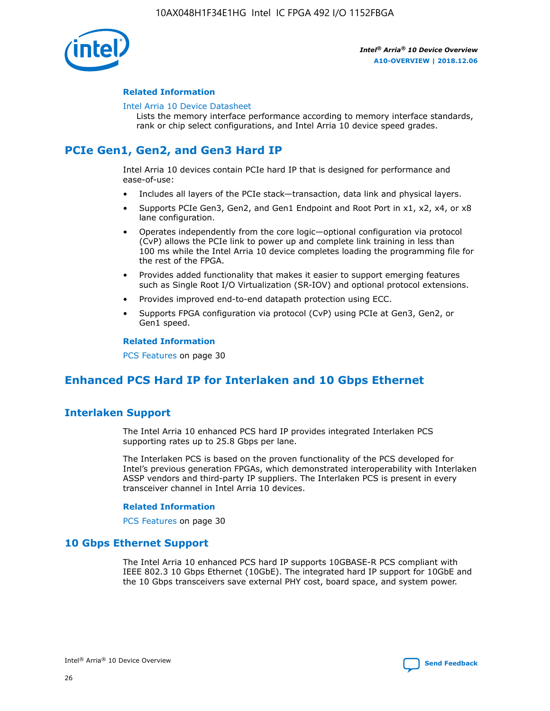

#### **Related Information**

#### [Intel Arria 10 Device Datasheet](https://www.intel.com/content/www/us/en/programmable/documentation/mcn1413182292568.html#mcn1413182153340)

Lists the memory interface performance according to memory interface standards, rank or chip select configurations, and Intel Arria 10 device speed grades.

# **PCIe Gen1, Gen2, and Gen3 Hard IP**

Intel Arria 10 devices contain PCIe hard IP that is designed for performance and ease-of-use:

- Includes all layers of the PCIe stack—transaction, data link and physical layers.
- Supports PCIe Gen3, Gen2, and Gen1 Endpoint and Root Port in x1, x2, x4, or x8 lane configuration.
- Operates independently from the core logic—optional configuration via protocol (CvP) allows the PCIe link to power up and complete link training in less than 100 ms while the Intel Arria 10 device completes loading the programming file for the rest of the FPGA.
- Provides added functionality that makes it easier to support emerging features such as Single Root I/O Virtualization (SR-IOV) and optional protocol extensions.
- Provides improved end-to-end datapath protection using ECC.
- Supports FPGA configuration via protocol (CvP) using PCIe at Gen3, Gen2, or Gen1 speed.

#### **Related Information**

PCS Features on page 30

# **Enhanced PCS Hard IP for Interlaken and 10 Gbps Ethernet**

# **Interlaken Support**

The Intel Arria 10 enhanced PCS hard IP provides integrated Interlaken PCS supporting rates up to 25.8 Gbps per lane.

The Interlaken PCS is based on the proven functionality of the PCS developed for Intel's previous generation FPGAs, which demonstrated interoperability with Interlaken ASSP vendors and third-party IP suppliers. The Interlaken PCS is present in every transceiver channel in Intel Arria 10 devices.

#### **Related Information**

PCS Features on page 30

# **10 Gbps Ethernet Support**

The Intel Arria 10 enhanced PCS hard IP supports 10GBASE-R PCS compliant with IEEE 802.3 10 Gbps Ethernet (10GbE). The integrated hard IP support for 10GbE and the 10 Gbps transceivers save external PHY cost, board space, and system power.

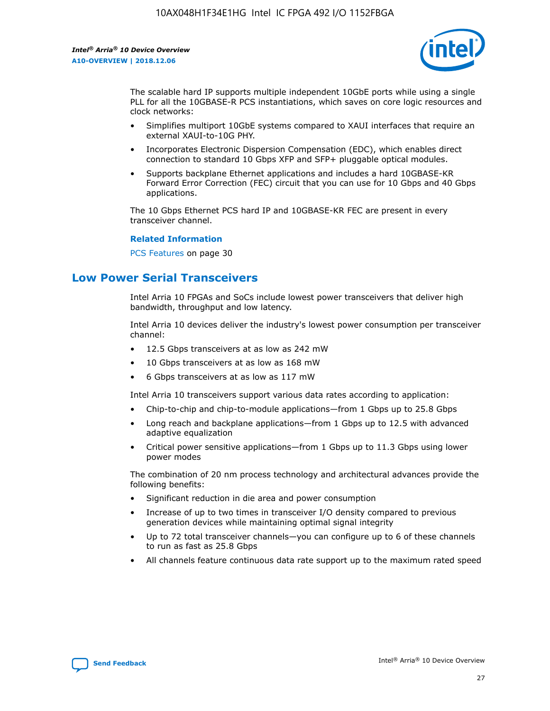

The scalable hard IP supports multiple independent 10GbE ports while using a single PLL for all the 10GBASE-R PCS instantiations, which saves on core logic resources and clock networks:

- Simplifies multiport 10GbE systems compared to XAUI interfaces that require an external XAUI-to-10G PHY.
- Incorporates Electronic Dispersion Compensation (EDC), which enables direct connection to standard 10 Gbps XFP and SFP+ pluggable optical modules.
- Supports backplane Ethernet applications and includes a hard 10GBASE-KR Forward Error Correction (FEC) circuit that you can use for 10 Gbps and 40 Gbps applications.

The 10 Gbps Ethernet PCS hard IP and 10GBASE-KR FEC are present in every transceiver channel.

#### **Related Information**

PCS Features on page 30

# **Low Power Serial Transceivers**

Intel Arria 10 FPGAs and SoCs include lowest power transceivers that deliver high bandwidth, throughput and low latency.

Intel Arria 10 devices deliver the industry's lowest power consumption per transceiver channel:

- 12.5 Gbps transceivers at as low as 242 mW
- 10 Gbps transceivers at as low as 168 mW
- 6 Gbps transceivers at as low as 117 mW

Intel Arria 10 transceivers support various data rates according to application:

- Chip-to-chip and chip-to-module applications—from 1 Gbps up to 25.8 Gbps
- Long reach and backplane applications—from 1 Gbps up to 12.5 with advanced adaptive equalization
- Critical power sensitive applications—from 1 Gbps up to 11.3 Gbps using lower power modes

The combination of 20 nm process technology and architectural advances provide the following benefits:

- Significant reduction in die area and power consumption
- Increase of up to two times in transceiver I/O density compared to previous generation devices while maintaining optimal signal integrity
- Up to 72 total transceiver channels—you can configure up to 6 of these channels to run as fast as 25.8 Gbps
- All channels feature continuous data rate support up to the maximum rated speed

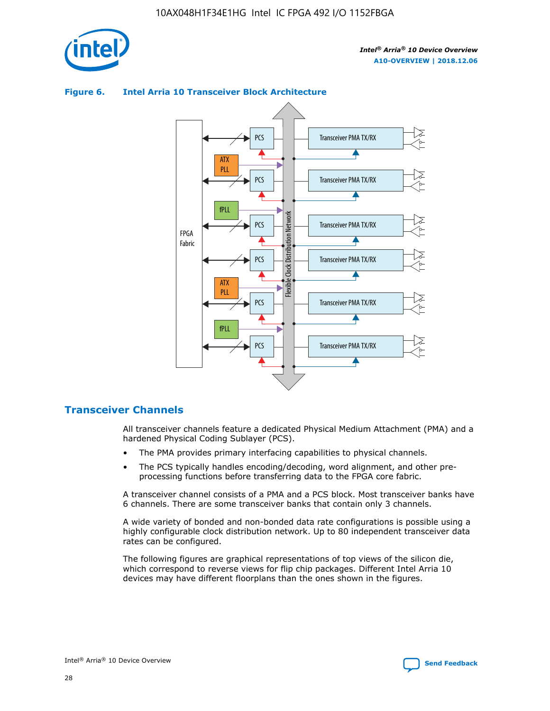

# Transceiver PMA TX/RX PCS ATX PLL Transceiver PMA TX/RX PCS fPLL Network Flexible Clock Distribution Network PCS Transceiver PMA TX/RX FPGA **Clock Distribution** Fabric PCS Transceiver PMA TX/RX ATX Flexible PLL PCS Transceiver PMA TX/RX ▲ fPLL Transceiver PMA TX/RX PCS 4

## **Figure 6. Intel Arria 10 Transceiver Block Architecture**

## **Transceiver Channels**

All transceiver channels feature a dedicated Physical Medium Attachment (PMA) and a hardened Physical Coding Sublayer (PCS).

- The PMA provides primary interfacing capabilities to physical channels.
- The PCS typically handles encoding/decoding, word alignment, and other preprocessing functions before transferring data to the FPGA core fabric.

A transceiver channel consists of a PMA and a PCS block. Most transceiver banks have 6 channels. There are some transceiver banks that contain only 3 channels.

A wide variety of bonded and non-bonded data rate configurations is possible using a highly configurable clock distribution network. Up to 80 independent transceiver data rates can be configured.

The following figures are graphical representations of top views of the silicon die, which correspond to reverse views for flip chip packages. Different Intel Arria 10 devices may have different floorplans than the ones shown in the figures.

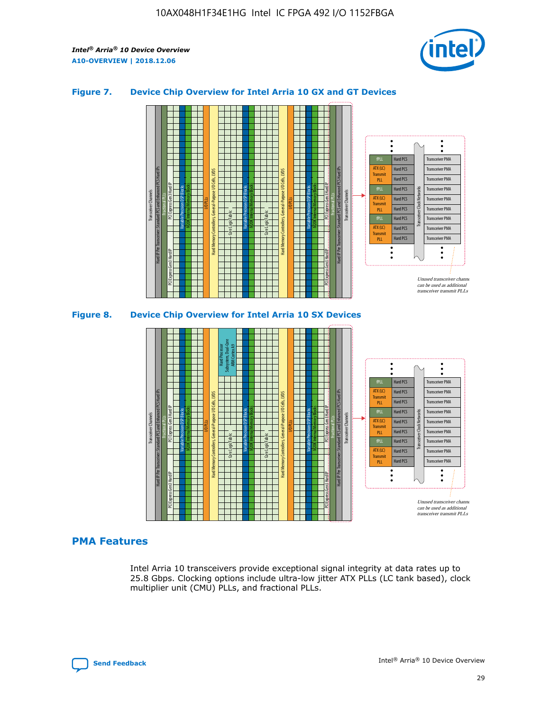

## **Figure 7. Device Chip Overview for Intel Arria 10 GX and GT Devices**





## **PMA Features**

Intel Arria 10 transceivers provide exceptional signal integrity at data rates up to 25.8 Gbps. Clocking options include ultra-low jitter ATX PLLs (LC tank based), clock multiplier unit (CMU) PLLs, and fractional PLLs.

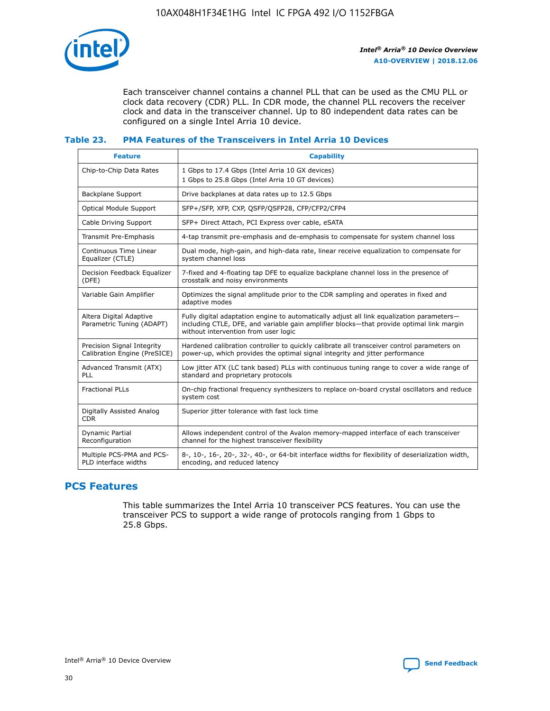

Each transceiver channel contains a channel PLL that can be used as the CMU PLL or clock data recovery (CDR) PLL. In CDR mode, the channel PLL recovers the receiver clock and data in the transceiver channel. Up to 80 independent data rates can be configured on a single Intel Arria 10 device.

## **Table 23. PMA Features of the Transceivers in Intel Arria 10 Devices**

| <b>Feature</b>                                             | <b>Capability</b>                                                                                                                                                                                                             |
|------------------------------------------------------------|-------------------------------------------------------------------------------------------------------------------------------------------------------------------------------------------------------------------------------|
| Chip-to-Chip Data Rates                                    | 1 Gbps to 17.4 Gbps (Intel Arria 10 GX devices)<br>1 Gbps to 25.8 Gbps (Intel Arria 10 GT devices)                                                                                                                            |
| Backplane Support                                          | Drive backplanes at data rates up to 12.5 Gbps                                                                                                                                                                                |
| <b>Optical Module Support</b>                              | SFP+/SFP, XFP, CXP, QSFP/QSFP28, CFP/CFP2/CFP4                                                                                                                                                                                |
| Cable Driving Support                                      | SFP+ Direct Attach, PCI Express over cable, eSATA                                                                                                                                                                             |
| Transmit Pre-Emphasis                                      | 4-tap transmit pre-emphasis and de-emphasis to compensate for system channel loss                                                                                                                                             |
| Continuous Time Linear<br>Equalizer (CTLE)                 | Dual mode, high-gain, and high-data rate, linear receive equalization to compensate for<br>system channel loss                                                                                                                |
| Decision Feedback Equalizer<br>(DFE)                       | 7-fixed and 4-floating tap DFE to equalize backplane channel loss in the presence of<br>crosstalk and noisy environments                                                                                                      |
| Variable Gain Amplifier                                    | Optimizes the signal amplitude prior to the CDR sampling and operates in fixed and<br>adaptive modes                                                                                                                          |
| Altera Digital Adaptive<br>Parametric Tuning (ADAPT)       | Fully digital adaptation engine to automatically adjust all link equalization parameters-<br>including CTLE, DFE, and variable gain amplifier blocks—that provide optimal link margin<br>without intervention from user logic |
| Precision Signal Integrity<br>Calibration Engine (PreSICE) | Hardened calibration controller to quickly calibrate all transceiver control parameters on<br>power-up, which provides the optimal signal integrity and jitter performance                                                    |
| Advanced Transmit (ATX)<br><b>PLL</b>                      | Low jitter ATX (LC tank based) PLLs with continuous tuning range to cover a wide range of<br>standard and proprietary protocols                                                                                               |
| <b>Fractional PLLs</b>                                     | On-chip fractional frequency synthesizers to replace on-board crystal oscillators and reduce<br>system cost                                                                                                                   |
| Digitally Assisted Analog<br><b>CDR</b>                    | Superior jitter tolerance with fast lock time                                                                                                                                                                                 |
| Dynamic Partial<br>Reconfiguration                         | Allows independent control of the Avalon memory-mapped interface of each transceiver<br>channel for the highest transceiver flexibility                                                                                       |
| Multiple PCS-PMA and PCS-<br>PLD interface widths          | 8-, 10-, 16-, 20-, 32-, 40-, or 64-bit interface widths for flexibility of deserialization width,<br>encoding, and reduced latency                                                                                            |

# **PCS Features**

This table summarizes the Intel Arria 10 transceiver PCS features. You can use the transceiver PCS to support a wide range of protocols ranging from 1 Gbps to 25.8 Gbps.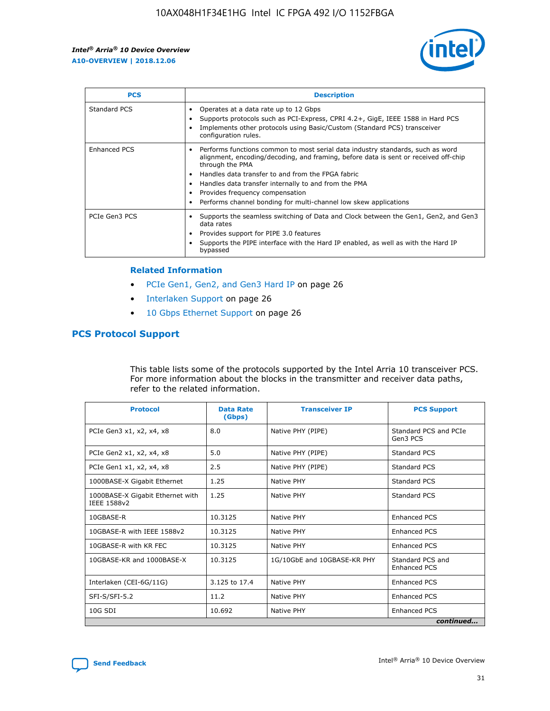

| <b>PCS</b>          | <b>Description</b>                                                                                                                                                                                                                                                                                                                                                                                             |
|---------------------|----------------------------------------------------------------------------------------------------------------------------------------------------------------------------------------------------------------------------------------------------------------------------------------------------------------------------------------------------------------------------------------------------------------|
| Standard PCS        | Operates at a data rate up to 12 Gbps<br>Supports protocols such as PCI-Express, CPRI 4.2+, GigE, IEEE 1588 in Hard PCS<br>Implements other protocols using Basic/Custom (Standard PCS) transceiver<br>configuration rules.                                                                                                                                                                                    |
| <b>Enhanced PCS</b> | Performs functions common to most serial data industry standards, such as word<br>alignment, encoding/decoding, and framing, before data is sent or received off-chip<br>through the PMA<br>• Handles data transfer to and from the FPGA fabric<br>Handles data transfer internally to and from the PMA<br>Provides frequency compensation<br>Performs channel bonding for multi-channel low skew applications |
| PCIe Gen3 PCS       | Supports the seamless switching of Data and Clock between the Gen1, Gen2, and Gen3<br>data rates<br>Provides support for PIPE 3.0 features<br>Supports the PIPE interface with the Hard IP enabled, as well as with the Hard IP<br>bypassed                                                                                                                                                                    |

#### **Related Information**

- PCIe Gen1, Gen2, and Gen3 Hard IP on page 26
- Interlaken Support on page 26
- 10 Gbps Ethernet Support on page 26

# **PCS Protocol Support**

This table lists some of the protocols supported by the Intel Arria 10 transceiver PCS. For more information about the blocks in the transmitter and receiver data paths, refer to the related information.

| <b>Protocol</b>                                 | <b>Data Rate</b><br>(Gbps) | <b>Transceiver IP</b>       | <b>PCS Support</b>                      |
|-------------------------------------------------|----------------------------|-----------------------------|-----------------------------------------|
| PCIe Gen3 x1, x2, x4, x8                        | 8.0                        | Native PHY (PIPE)           | Standard PCS and PCIe<br>Gen3 PCS       |
| PCIe Gen2 x1, x2, x4, x8                        | 5.0                        | Native PHY (PIPE)           | <b>Standard PCS</b>                     |
| PCIe Gen1 x1, x2, x4, x8                        | 2.5                        | Native PHY (PIPE)           | Standard PCS                            |
| 1000BASE-X Gigabit Ethernet                     | 1.25                       | Native PHY                  | <b>Standard PCS</b>                     |
| 1000BASE-X Gigabit Ethernet with<br>IEEE 1588v2 | 1.25                       | Native PHY                  | Standard PCS                            |
| 10GBASE-R                                       | 10.3125                    | Native PHY                  | <b>Enhanced PCS</b>                     |
| 10GBASE-R with IEEE 1588v2                      | 10.3125                    | Native PHY                  | <b>Enhanced PCS</b>                     |
| 10GBASE-R with KR FEC                           | 10.3125                    | Native PHY                  | <b>Enhanced PCS</b>                     |
| 10GBASE-KR and 1000BASE-X                       | 10.3125                    | 1G/10GbE and 10GBASE-KR PHY | Standard PCS and<br><b>Enhanced PCS</b> |
| Interlaken (CEI-6G/11G)                         | 3.125 to 17.4              | Native PHY                  | <b>Enhanced PCS</b>                     |
| SFI-S/SFI-5.2                                   | 11.2                       | Native PHY                  | <b>Enhanced PCS</b>                     |
| $10G$ SDI                                       | 10.692                     | Native PHY                  | <b>Enhanced PCS</b>                     |
|                                                 |                            |                             | continued                               |

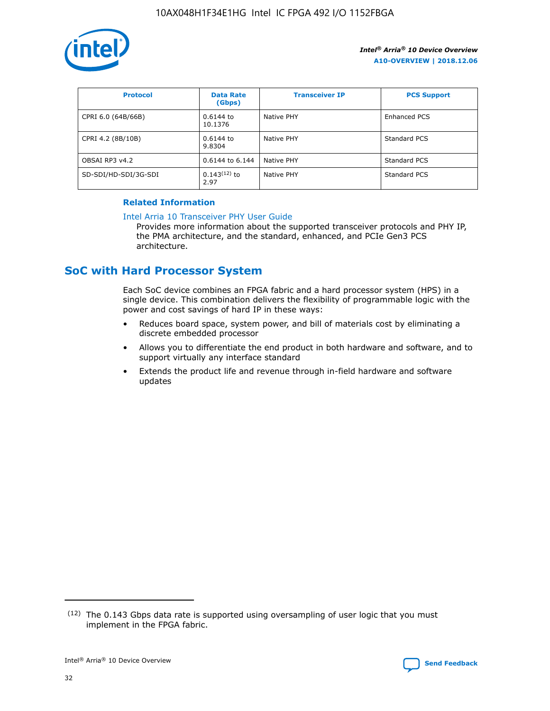

| <b>Protocol</b>      | <b>Data Rate</b><br>(Gbps) | <b>Transceiver IP</b> | <b>PCS Support</b> |
|----------------------|----------------------------|-----------------------|--------------------|
| CPRI 6.0 (64B/66B)   | 0.6144 to<br>10.1376       | Native PHY            | Enhanced PCS       |
| CPRI 4.2 (8B/10B)    | $0.6144$ to<br>9.8304      | Native PHY            | Standard PCS       |
| OBSAI RP3 v4.2       | 0.6144 to 6.144            | Native PHY            | Standard PCS       |
| SD-SDI/HD-SDI/3G-SDI | $0.143(12)$ to<br>2.97     | Native PHY            | Standard PCS       |

## **Related Information**

#### [Intel Arria 10 Transceiver PHY User Guide](https://www.intel.com/content/www/us/en/programmable/documentation/nik1398707230472.html#nik1398707091164)

Provides more information about the supported transceiver protocols and PHY IP, the PMA architecture, and the standard, enhanced, and PCIe Gen3 PCS architecture.

# **SoC with Hard Processor System**

Each SoC device combines an FPGA fabric and a hard processor system (HPS) in a single device. This combination delivers the flexibility of programmable logic with the power and cost savings of hard IP in these ways:

- Reduces board space, system power, and bill of materials cost by eliminating a discrete embedded processor
- Allows you to differentiate the end product in both hardware and software, and to support virtually any interface standard
- Extends the product life and revenue through in-field hardware and software updates

<sup>(12)</sup> The 0.143 Gbps data rate is supported using oversampling of user logic that you must implement in the FPGA fabric.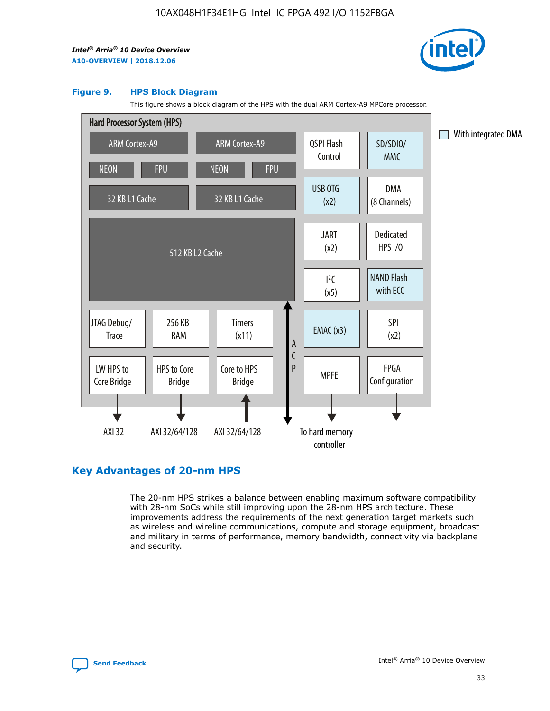

#### **Figure 9. HPS Block Diagram**

This figure shows a block diagram of the HPS with the dual ARM Cortex-A9 MPCore processor.



# **Key Advantages of 20-nm HPS**

The 20-nm HPS strikes a balance between enabling maximum software compatibility with 28-nm SoCs while still improving upon the 28-nm HPS architecture. These improvements address the requirements of the next generation target markets such as wireless and wireline communications, compute and storage equipment, broadcast and military in terms of performance, memory bandwidth, connectivity via backplane and security.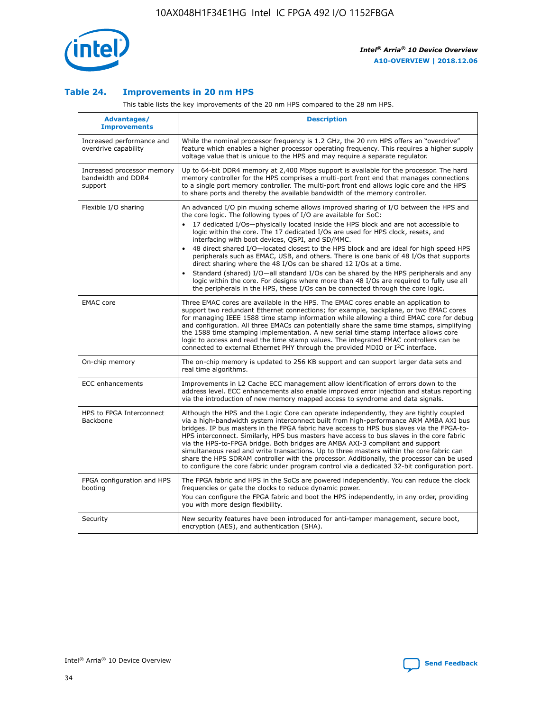

## **Table 24. Improvements in 20 nm HPS**

This table lists the key improvements of the 20 nm HPS compared to the 28 nm HPS.

| Advantages/<br><b>Improvements</b>                          | <b>Description</b>                                                                                                                                                                                                                                                                                                                                                                                                                                                                                                                                                                                                                                                                                                                                                                                                                                                                                                      |
|-------------------------------------------------------------|-------------------------------------------------------------------------------------------------------------------------------------------------------------------------------------------------------------------------------------------------------------------------------------------------------------------------------------------------------------------------------------------------------------------------------------------------------------------------------------------------------------------------------------------------------------------------------------------------------------------------------------------------------------------------------------------------------------------------------------------------------------------------------------------------------------------------------------------------------------------------------------------------------------------------|
| Increased performance and<br>overdrive capability           | While the nominal processor frequency is 1.2 GHz, the 20 nm HPS offers an "overdrive"<br>feature which enables a higher processor operating frequency. This requires a higher supply<br>voltage value that is unique to the HPS and may require a separate regulator.                                                                                                                                                                                                                                                                                                                                                                                                                                                                                                                                                                                                                                                   |
| Increased processor memory<br>bandwidth and DDR4<br>support | Up to 64-bit DDR4 memory at 2,400 Mbps support is available for the processor. The hard<br>memory controller for the HPS comprises a multi-port front end that manages connections<br>to a single port memory controller. The multi-port front end allows logic core and the HPS<br>to share ports and thereby the available bandwidth of the memory controller.                                                                                                                                                                                                                                                                                                                                                                                                                                                                                                                                                        |
| Flexible I/O sharing                                        | An advanced I/O pin muxing scheme allows improved sharing of I/O between the HPS and<br>the core logic. The following types of I/O are available for SoC:<br>17 dedicated I/Os-physically located inside the HPS block and are not accessible to<br>logic within the core. The 17 dedicated I/Os are used for HPS clock, resets, and<br>interfacing with boot devices, QSPI, and SD/MMC.<br>48 direct shared I/O-located closest to the HPS block and are ideal for high speed HPS<br>peripherals such as EMAC, USB, and others. There is one bank of 48 I/Os that supports<br>direct sharing where the 48 I/Os can be shared 12 I/Os at a time.<br>Standard (shared) I/O-all standard I/Os can be shared by the HPS peripherals and any<br>logic within the core. For designs where more than 48 I/Os are reguired to fully use all<br>the peripherals in the HPS, these I/Os can be connected through the core logic. |
| <b>EMAC</b> core                                            | Three EMAC cores are available in the HPS. The EMAC cores enable an application to<br>support two redundant Ethernet connections; for example, backplane, or two EMAC cores<br>for managing IEEE 1588 time stamp information while allowing a third EMAC core for debug<br>and configuration. All three EMACs can potentially share the same time stamps, simplifying<br>the 1588 time stamping implementation. A new serial time stamp interface allows core<br>logic to access and read the time stamp values. The integrated EMAC controllers can be<br>connected to external Ethernet PHY through the provided MDIO or I <sup>2</sup> C interface.                                                                                                                                                                                                                                                                  |
| On-chip memory                                              | The on-chip memory is updated to 256 KB support and can support larger data sets and<br>real time algorithms.                                                                                                                                                                                                                                                                                                                                                                                                                                                                                                                                                                                                                                                                                                                                                                                                           |
| <b>ECC</b> enhancements                                     | Improvements in L2 Cache ECC management allow identification of errors down to the<br>address level. ECC enhancements also enable improved error injection and status reporting<br>via the introduction of new memory mapped access to syndrome and data signals.                                                                                                                                                                                                                                                                                                                                                                                                                                                                                                                                                                                                                                                       |
| HPS to FPGA Interconnect<br>Backbone                        | Although the HPS and the Logic Core can operate independently, they are tightly coupled<br>via a high-bandwidth system interconnect built from high-performance ARM AMBA AXI bus<br>bridges. IP bus masters in the FPGA fabric have access to HPS bus slaves via the FPGA-to-<br>HPS interconnect. Similarly, HPS bus masters have access to bus slaves in the core fabric<br>via the HPS-to-FPGA bridge. Both bridges are AMBA AXI-3 compliant and support<br>simultaneous read and write transactions. Up to three masters within the core fabric can<br>share the HPS SDRAM controller with the processor. Additionally, the processor can be used<br>to configure the core fabric under program control via a dedicated 32-bit configuration port.                                                                                                                                                                  |
| FPGA configuration and HPS<br>booting                       | The FPGA fabric and HPS in the SoCs are powered independently. You can reduce the clock<br>frequencies or gate the clocks to reduce dynamic power.<br>You can configure the FPGA fabric and boot the HPS independently, in any order, providing<br>you with more design flexibility.                                                                                                                                                                                                                                                                                                                                                                                                                                                                                                                                                                                                                                    |
| Security                                                    | New security features have been introduced for anti-tamper management, secure boot,<br>encryption (AES), and authentication (SHA).                                                                                                                                                                                                                                                                                                                                                                                                                                                                                                                                                                                                                                                                                                                                                                                      |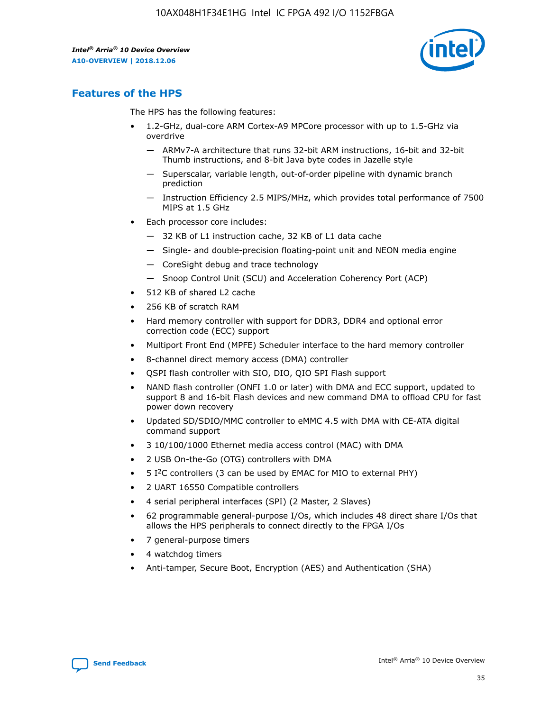

# **Features of the HPS**

The HPS has the following features:

- 1.2-GHz, dual-core ARM Cortex-A9 MPCore processor with up to 1.5-GHz via overdrive
	- ARMv7-A architecture that runs 32-bit ARM instructions, 16-bit and 32-bit Thumb instructions, and 8-bit Java byte codes in Jazelle style
	- Superscalar, variable length, out-of-order pipeline with dynamic branch prediction
	- Instruction Efficiency 2.5 MIPS/MHz, which provides total performance of 7500 MIPS at 1.5 GHz
- Each processor core includes:
	- 32 KB of L1 instruction cache, 32 KB of L1 data cache
	- Single- and double-precision floating-point unit and NEON media engine
	- CoreSight debug and trace technology
	- Snoop Control Unit (SCU) and Acceleration Coherency Port (ACP)
- 512 KB of shared L2 cache
- 256 KB of scratch RAM
- Hard memory controller with support for DDR3, DDR4 and optional error correction code (ECC) support
- Multiport Front End (MPFE) Scheduler interface to the hard memory controller
- 8-channel direct memory access (DMA) controller
- QSPI flash controller with SIO, DIO, QIO SPI Flash support
- NAND flash controller (ONFI 1.0 or later) with DMA and ECC support, updated to support 8 and 16-bit Flash devices and new command DMA to offload CPU for fast power down recovery
- Updated SD/SDIO/MMC controller to eMMC 4.5 with DMA with CE-ATA digital command support
- 3 10/100/1000 Ethernet media access control (MAC) with DMA
- 2 USB On-the-Go (OTG) controllers with DMA
- $\bullet$  5 I<sup>2</sup>C controllers (3 can be used by EMAC for MIO to external PHY)
- 2 UART 16550 Compatible controllers
- 4 serial peripheral interfaces (SPI) (2 Master, 2 Slaves)
- 62 programmable general-purpose I/Os, which includes 48 direct share I/Os that allows the HPS peripherals to connect directly to the FPGA I/Os
- 7 general-purpose timers
- 4 watchdog timers
- Anti-tamper, Secure Boot, Encryption (AES) and Authentication (SHA)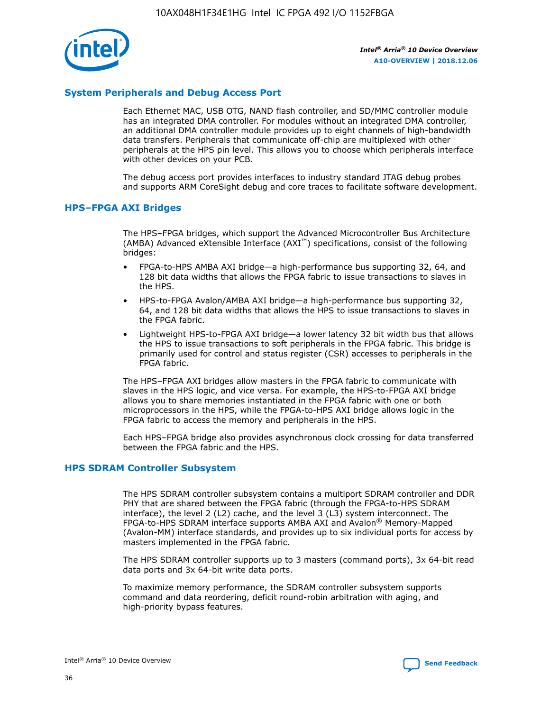

## **System Peripherals and Debug Access Port**

Each Ethernet MAC, USB OTG, NAND flash controller, and SD/MMC controller module has an integrated DMA controller. For modules without an integrated DMA controller, an additional DMA controller module provides up to eight channels of high-bandwidth data transfers. Peripherals that communicate off-chip are multiplexed with other peripherals at the HPS pin level. This allows you to choose which peripherals interface with other devices on your PCB.

The debug access port provides interfaces to industry standard JTAG debug probes and supports ARM CoreSight debug and core traces to facilitate software development.

#### **HPS–FPGA AXI Bridges**

The HPS–FPGA bridges, which support the Advanced Microcontroller Bus Architecture (AMBA) Advanced eXtensible Interface (AXI™) specifications, consist of the following bridges:

- FPGA-to-HPS AMBA AXI bridge—a high-performance bus supporting 32, 64, and 128 bit data widths that allows the FPGA fabric to issue transactions to slaves in the HPS.
- HPS-to-FPGA Avalon/AMBA AXI bridge—a high-performance bus supporting 32, 64, and 128 bit data widths that allows the HPS to issue transactions to slaves in the FPGA fabric.
- Lightweight HPS-to-FPGA AXI bridge—a lower latency 32 bit width bus that allows the HPS to issue transactions to soft peripherals in the FPGA fabric. This bridge is primarily used for control and status register (CSR) accesses to peripherals in the FPGA fabric.

The HPS–FPGA AXI bridges allow masters in the FPGA fabric to communicate with slaves in the HPS logic, and vice versa. For example, the HPS-to-FPGA AXI bridge allows you to share memories instantiated in the FPGA fabric with one or both microprocessors in the HPS, while the FPGA-to-HPS AXI bridge allows logic in the FPGA fabric to access the memory and peripherals in the HPS.

Each HPS–FPGA bridge also provides asynchronous clock crossing for data transferred between the FPGA fabric and the HPS.

#### **HPS SDRAM Controller Subsystem**

The HPS SDRAM controller subsystem contains a multiport SDRAM controller and DDR PHY that are shared between the FPGA fabric (through the FPGA-to-HPS SDRAM interface), the level 2 (L2) cache, and the level 3 (L3) system interconnect. The FPGA-to-HPS SDRAM interface supports AMBA AXI and Avalon® Memory-Mapped (Avalon-MM) interface standards, and provides up to six individual ports for access by masters implemented in the FPGA fabric.

The HPS SDRAM controller supports up to 3 masters (command ports), 3x 64-bit read data ports and 3x 64-bit write data ports.

To maximize memory performance, the SDRAM controller subsystem supports command and data reordering, deficit round-robin arbitration with aging, and high-priority bypass features.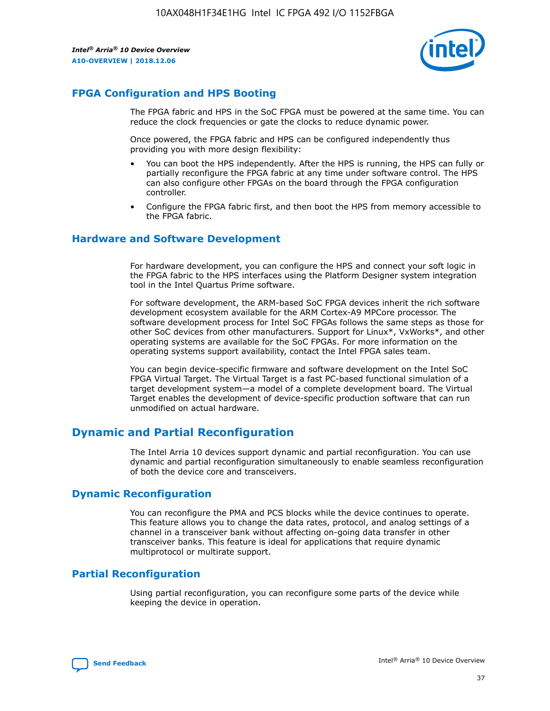

# **FPGA Configuration and HPS Booting**

The FPGA fabric and HPS in the SoC FPGA must be powered at the same time. You can reduce the clock frequencies or gate the clocks to reduce dynamic power.

Once powered, the FPGA fabric and HPS can be configured independently thus providing you with more design flexibility:

- You can boot the HPS independently. After the HPS is running, the HPS can fully or partially reconfigure the FPGA fabric at any time under software control. The HPS can also configure other FPGAs on the board through the FPGA configuration controller.
- Configure the FPGA fabric first, and then boot the HPS from memory accessible to the FPGA fabric.

## **Hardware and Software Development**

For hardware development, you can configure the HPS and connect your soft logic in the FPGA fabric to the HPS interfaces using the Platform Designer system integration tool in the Intel Quartus Prime software.

For software development, the ARM-based SoC FPGA devices inherit the rich software development ecosystem available for the ARM Cortex-A9 MPCore processor. The software development process for Intel SoC FPGAs follows the same steps as those for other SoC devices from other manufacturers. Support for Linux\*, VxWorks\*, and other operating systems are available for the SoC FPGAs. For more information on the operating systems support availability, contact the Intel FPGA sales team.

You can begin device-specific firmware and software development on the Intel SoC FPGA Virtual Target. The Virtual Target is a fast PC-based functional simulation of a target development system—a model of a complete development board. The Virtual Target enables the development of device-specific production software that can run unmodified on actual hardware.

# **Dynamic and Partial Reconfiguration**

The Intel Arria 10 devices support dynamic and partial reconfiguration. You can use dynamic and partial reconfiguration simultaneously to enable seamless reconfiguration of both the device core and transceivers.

# **Dynamic Reconfiguration**

You can reconfigure the PMA and PCS blocks while the device continues to operate. This feature allows you to change the data rates, protocol, and analog settings of a channel in a transceiver bank without affecting on-going data transfer in other transceiver banks. This feature is ideal for applications that require dynamic multiprotocol or multirate support.

# **Partial Reconfiguration**

Using partial reconfiguration, you can reconfigure some parts of the device while keeping the device in operation.

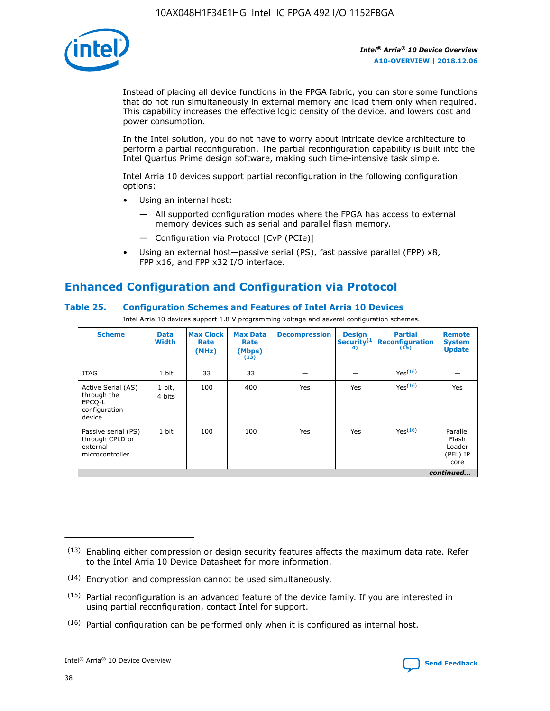

Instead of placing all device functions in the FPGA fabric, you can store some functions that do not run simultaneously in external memory and load them only when required. This capability increases the effective logic density of the device, and lowers cost and power consumption.

In the Intel solution, you do not have to worry about intricate device architecture to perform a partial reconfiguration. The partial reconfiguration capability is built into the Intel Quartus Prime design software, making such time-intensive task simple.

Intel Arria 10 devices support partial reconfiguration in the following configuration options:

- Using an internal host:
	- All supported configuration modes where the FPGA has access to external memory devices such as serial and parallel flash memory.
	- Configuration via Protocol [CvP (PCIe)]
- Using an external host—passive serial (PS), fast passive parallel (FPP) x8, FPP x16, and FPP x32 I/O interface.

# **Enhanced Configuration and Configuration via Protocol**

## **Table 25. Configuration Schemes and Features of Intel Arria 10 Devices**

Intel Arria 10 devices support 1.8 V programming voltage and several configuration schemes.

| <b>Scheme</b>                                                          | <b>Data</b><br><b>Width</b> | <b>Max Clock</b><br>Rate<br>(MHz) | <b>Max Data</b><br>Rate<br>(Mbps)<br>(13) | <b>Decompression</b> | <b>Design</b><br>Security <sup>(1</sup><br>4) | <b>Partial</b><br><b>Reconfiguration</b><br>(15) | <b>Remote</b><br><b>System</b><br><b>Update</b> |
|------------------------------------------------------------------------|-----------------------------|-----------------------------------|-------------------------------------------|----------------------|-----------------------------------------------|--------------------------------------------------|-------------------------------------------------|
| <b>JTAG</b>                                                            | 1 bit                       | 33                                | 33                                        |                      |                                               | Yes(16)                                          |                                                 |
| Active Serial (AS)<br>through the<br>EPCO-L<br>configuration<br>device | 1 bit,<br>4 bits            | 100                               | 400                                       | Yes                  | Yes                                           | $Y_{PS}(16)$                                     | Yes                                             |
| Passive serial (PS)<br>through CPLD or<br>external<br>microcontroller  | 1 bit                       | 100                               | 100                                       | Yes                  | Yes                                           | Yes(16)                                          | Parallel<br>Flash<br>Loader<br>(PFL) IP<br>core |
|                                                                        |                             |                                   |                                           |                      |                                               |                                                  | continued                                       |

<sup>(13)</sup> Enabling either compression or design security features affects the maximum data rate. Refer to the Intel Arria 10 Device Datasheet for more information.

<sup>(14)</sup> Encryption and compression cannot be used simultaneously.

 $(15)$  Partial reconfiguration is an advanced feature of the device family. If you are interested in using partial reconfiguration, contact Intel for support.

 $(16)$  Partial configuration can be performed only when it is configured as internal host.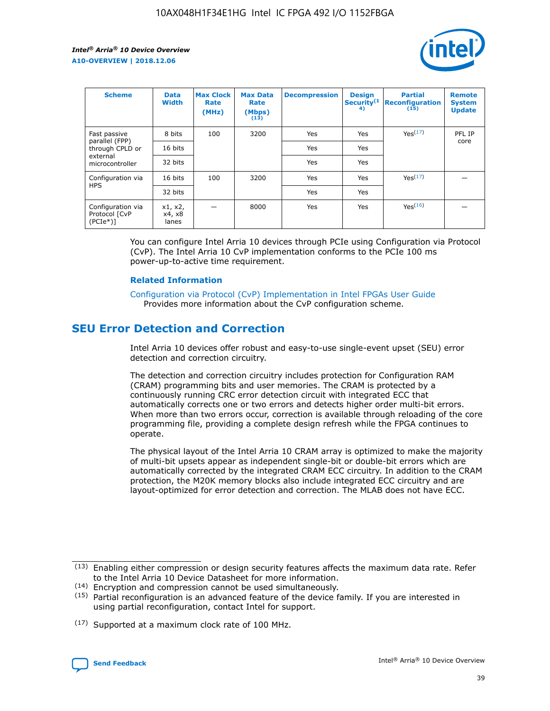

| <b>Scheme</b>                                   | <b>Data</b><br><b>Width</b> | <b>Max Clock</b><br>Rate<br>(MHz) | <b>Max Data</b><br>Rate<br>(Mbps)<br>(13) | <b>Decompression</b> | <b>Design</b><br>Security <sup>(1</sup><br>4) | <b>Partial</b><br><b>Reconfiguration</b><br>(15) | <b>Remote</b><br><b>System</b><br><b>Update</b> |
|-------------------------------------------------|-----------------------------|-----------------------------------|-------------------------------------------|----------------------|-----------------------------------------------|--------------------------------------------------|-------------------------------------------------|
| Fast passive                                    | 8 bits                      | 100                               | 3200                                      | Yes                  | Yes                                           | Yes(17)                                          | PFL IP                                          |
| parallel (FPP)<br>through CPLD or               | 16 bits                     |                                   |                                           | Yes                  | Yes                                           |                                                  | core                                            |
| external<br>microcontroller                     | 32 bits                     |                                   |                                           | Yes                  | Yes                                           |                                                  |                                                 |
| Configuration via                               | 16 bits                     | 100                               | 3200                                      | Yes                  | Yes                                           | Yes <sup>(17)</sup>                              |                                                 |
| <b>HPS</b>                                      | 32 bits                     |                                   |                                           | Yes                  | Yes                                           |                                                  |                                                 |
| Configuration via<br>Protocol [CvP<br>$(PCIe*)$ | x1, x2,<br>x4, x8<br>lanes  |                                   | 8000                                      | Yes                  | Yes                                           | Yes <sup>(16)</sup>                              |                                                 |

You can configure Intel Arria 10 devices through PCIe using Configuration via Protocol (CvP). The Intel Arria 10 CvP implementation conforms to the PCIe 100 ms power-up-to-active time requirement.

#### **Related Information**

[Configuration via Protocol \(CvP\) Implementation in Intel FPGAs User Guide](https://www.intel.com/content/www/us/en/programmable/documentation/dsu1441819344145.html#dsu1442269728522) Provides more information about the CvP configuration scheme.

# **SEU Error Detection and Correction**

Intel Arria 10 devices offer robust and easy-to-use single-event upset (SEU) error detection and correction circuitry.

The detection and correction circuitry includes protection for Configuration RAM (CRAM) programming bits and user memories. The CRAM is protected by a continuously running CRC error detection circuit with integrated ECC that automatically corrects one or two errors and detects higher order multi-bit errors. When more than two errors occur, correction is available through reloading of the core programming file, providing a complete design refresh while the FPGA continues to operate.

The physical layout of the Intel Arria 10 CRAM array is optimized to make the majority of multi-bit upsets appear as independent single-bit or double-bit errors which are automatically corrected by the integrated CRAM ECC circuitry. In addition to the CRAM protection, the M20K memory blocks also include integrated ECC circuitry and are layout-optimized for error detection and correction. The MLAB does not have ECC.

(14) Encryption and compression cannot be used simultaneously.

<sup>(17)</sup> Supported at a maximum clock rate of 100 MHz.



 $(13)$  Enabling either compression or design security features affects the maximum data rate. Refer to the Intel Arria 10 Device Datasheet for more information.

 $(15)$  Partial reconfiguration is an advanced feature of the device family. If you are interested in using partial reconfiguration, contact Intel for support.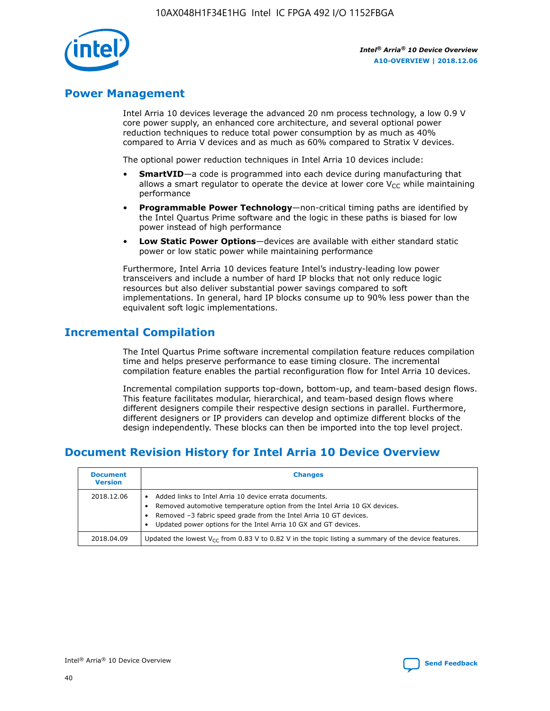

# **Power Management**

Intel Arria 10 devices leverage the advanced 20 nm process technology, a low 0.9 V core power supply, an enhanced core architecture, and several optional power reduction techniques to reduce total power consumption by as much as 40% compared to Arria V devices and as much as 60% compared to Stratix V devices.

The optional power reduction techniques in Intel Arria 10 devices include:

- **SmartVID**—a code is programmed into each device during manufacturing that allows a smart regulator to operate the device at lower core  $V_{CC}$  while maintaining performance
- **Programmable Power Technology**—non-critical timing paths are identified by the Intel Quartus Prime software and the logic in these paths is biased for low power instead of high performance
- **Low Static Power Options**—devices are available with either standard static power or low static power while maintaining performance

Furthermore, Intel Arria 10 devices feature Intel's industry-leading low power transceivers and include a number of hard IP blocks that not only reduce logic resources but also deliver substantial power savings compared to soft implementations. In general, hard IP blocks consume up to 90% less power than the equivalent soft logic implementations.

# **Incremental Compilation**

The Intel Quartus Prime software incremental compilation feature reduces compilation time and helps preserve performance to ease timing closure. The incremental compilation feature enables the partial reconfiguration flow for Intel Arria 10 devices.

Incremental compilation supports top-down, bottom-up, and team-based design flows. This feature facilitates modular, hierarchical, and team-based design flows where different designers compile their respective design sections in parallel. Furthermore, different designers or IP providers can develop and optimize different blocks of the design independently. These blocks can then be imported into the top level project.

# **Document Revision History for Intel Arria 10 Device Overview**

| <b>Document</b><br><b>Version</b> | <b>Changes</b>                                                                                                                                                                                                                                                              |
|-----------------------------------|-----------------------------------------------------------------------------------------------------------------------------------------------------------------------------------------------------------------------------------------------------------------------------|
| 2018.12.06                        | Added links to Intel Arria 10 device errata documents.<br>Removed automotive temperature option from the Intel Arria 10 GX devices.<br>Removed -3 fabric speed grade from the Intel Arria 10 GT devices.<br>Updated power options for the Intel Arria 10 GX and GT devices. |
| 2018.04.09                        | Updated the lowest $V_{CC}$ from 0.83 V to 0.82 V in the topic listing a summary of the device features.                                                                                                                                                                    |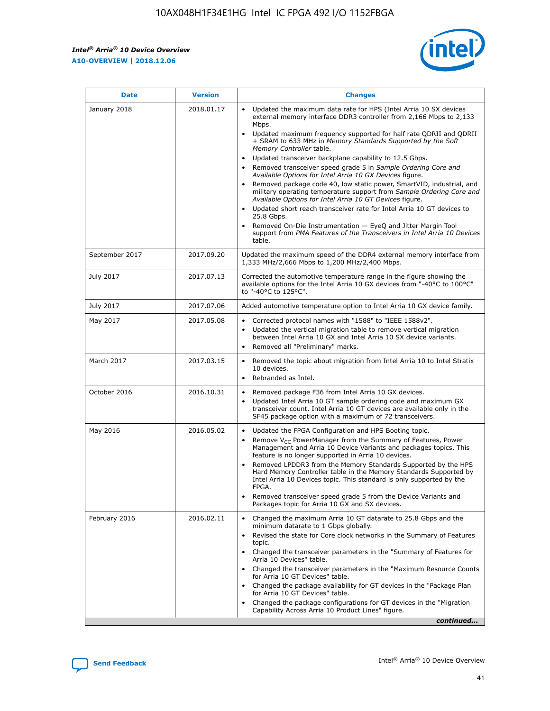*Intel® Arria® 10 Device Overview* **A10-OVERVIEW | 2018.12.06**



| <b>Date</b>    | <b>Version</b> | <b>Changes</b>                                                                                                                                                                                                                                                                                                                                                                                                                                                                                                                                                                                                                                                                                                                                                                                                                                                                                                                                                            |
|----------------|----------------|---------------------------------------------------------------------------------------------------------------------------------------------------------------------------------------------------------------------------------------------------------------------------------------------------------------------------------------------------------------------------------------------------------------------------------------------------------------------------------------------------------------------------------------------------------------------------------------------------------------------------------------------------------------------------------------------------------------------------------------------------------------------------------------------------------------------------------------------------------------------------------------------------------------------------------------------------------------------------|
| January 2018   | 2018.01.17     | Updated the maximum data rate for HPS (Intel Arria 10 SX devices<br>external memory interface DDR3 controller from 2,166 Mbps to 2,133<br>Mbps.<br>Updated maximum frequency supported for half rate QDRII and QDRII<br>+ SRAM to 633 MHz in Memory Standards Supported by the Soft<br>Memory Controller table.<br>Updated transceiver backplane capability to 12.5 Gbps.<br>$\bullet$<br>Removed transceiver speed grade 5 in Sample Ordering Core and<br>Available Options for Intel Arria 10 GX Devices figure.<br>Removed package code 40, low static power, SmartVID, industrial, and<br>military operating temperature support from Sample Ordering Core and<br>Available Options for Intel Arria 10 GT Devices figure.<br>Updated short reach transceiver rate for Intel Arria 10 GT devices to<br>25.8 Gbps.<br>Removed On-Die Instrumentation - EyeQ and Jitter Margin Tool<br>support from PMA Features of the Transceivers in Intel Arria 10 Devices<br>table. |
| September 2017 | 2017.09.20     | Updated the maximum speed of the DDR4 external memory interface from<br>1,333 MHz/2,666 Mbps to 1,200 MHz/2,400 Mbps.                                                                                                                                                                                                                                                                                                                                                                                                                                                                                                                                                                                                                                                                                                                                                                                                                                                     |
| July 2017      | 2017.07.13     | Corrected the automotive temperature range in the figure showing the<br>available options for the Intel Arria 10 GX devices from "-40°C to 100°C"<br>to "-40°C to 125°C".                                                                                                                                                                                                                                                                                                                                                                                                                                                                                                                                                                                                                                                                                                                                                                                                 |
| July 2017      | 2017.07.06     | Added automotive temperature option to Intel Arria 10 GX device family.                                                                                                                                                                                                                                                                                                                                                                                                                                                                                                                                                                                                                                                                                                                                                                                                                                                                                                   |
| May 2017       | 2017.05.08     | Corrected protocol names with "1588" to "IEEE 1588v2".<br>Updated the vertical migration table to remove vertical migration<br>between Intel Arria 10 GX and Intel Arria 10 SX device variants.<br>Removed all "Preliminary" marks.                                                                                                                                                                                                                                                                                                                                                                                                                                                                                                                                                                                                                                                                                                                                       |
| March 2017     | 2017.03.15     | Removed the topic about migration from Intel Arria 10 to Intel Stratix<br>10 devices.<br>Rebranded as Intel.<br>$\bullet$                                                                                                                                                                                                                                                                                                                                                                                                                                                                                                                                                                                                                                                                                                                                                                                                                                                 |
| October 2016   | 2016.10.31     | Removed package F36 from Intel Arria 10 GX devices.<br>Updated Intel Arria 10 GT sample ordering code and maximum GX<br>$\bullet$<br>transceiver count. Intel Arria 10 GT devices are available only in the<br>SF45 package option with a maximum of 72 transceivers.                                                                                                                                                                                                                                                                                                                                                                                                                                                                                                                                                                                                                                                                                                     |
| May 2016       | 2016.05.02     | Updated the FPGA Configuration and HPS Booting topic.<br>Remove V <sub>CC</sub> PowerManager from the Summary of Features, Power<br>Management and Arria 10 Device Variants and packages topics. This<br>feature is no longer supported in Arria 10 devices.<br>Removed LPDDR3 from the Memory Standards Supported by the HPS<br>Hard Memory Controller table in the Memory Standards Supported by<br>Intel Arria 10 Devices topic. This standard is only supported by the<br>FPGA.<br>Removed transceiver speed grade 5 from the Device Variants and<br>Packages topic for Arria 10 GX and SX devices.                                                                                                                                                                                                                                                                                                                                                                   |
| February 2016  | 2016.02.11     | Changed the maximum Arria 10 GT datarate to 25.8 Gbps and the<br>minimum datarate to 1 Gbps globally.<br>Revised the state for Core clock networks in the Summary of Features<br>$\bullet$<br>topic.<br>Changed the transceiver parameters in the "Summary of Features for<br>Arria 10 Devices" table.<br>• Changed the transceiver parameters in the "Maximum Resource Counts<br>for Arria 10 GT Devices" table.<br>• Changed the package availability for GT devices in the "Package Plan<br>for Arria 10 GT Devices" table.<br>Changed the package configurations for GT devices in the "Migration"<br>Capability Across Arria 10 Product Lines" figure.<br>continued                                                                                                                                                                                                                                                                                                  |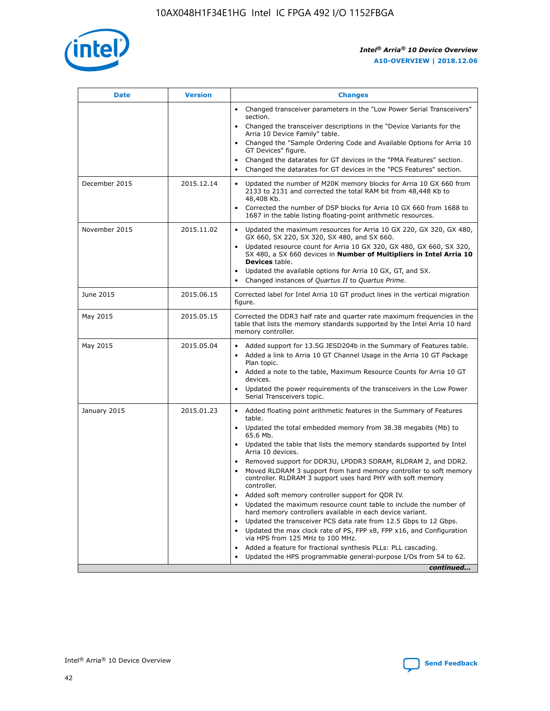

| <b>Date</b>   | <b>Version</b> | <b>Changes</b>                                                                                                                                                               |
|---------------|----------------|------------------------------------------------------------------------------------------------------------------------------------------------------------------------------|
|               |                | • Changed transceiver parameters in the "Low Power Serial Transceivers"<br>section.                                                                                          |
|               |                | • Changed the transceiver descriptions in the "Device Variants for the<br>Arria 10 Device Family" table.                                                                     |
|               |                | Changed the "Sample Ordering Code and Available Options for Arria 10<br>$\bullet$<br>GT Devices" figure.                                                                     |
|               |                | Changed the datarates for GT devices in the "PMA Features" section.                                                                                                          |
|               |                | Changed the datarates for GT devices in the "PCS Features" section.<br>$\bullet$                                                                                             |
| December 2015 | 2015.12.14     | Updated the number of M20K memory blocks for Arria 10 GX 660 from<br>2133 to 2131 and corrected the total RAM bit from 48,448 Kb to<br>48,408 Kb.                            |
|               |                | Corrected the number of DSP blocks for Arria 10 GX 660 from 1688 to<br>1687 in the table listing floating-point arithmetic resources.                                        |
| November 2015 | 2015.11.02     | Updated the maximum resources for Arria 10 GX 220, GX 320, GX 480,<br>$\bullet$<br>GX 660, SX 220, SX 320, SX 480, and SX 660.                                               |
|               |                | • Updated resource count for Arria 10 GX 320, GX 480, GX 660, SX 320,<br>SX 480, a SX 660 devices in Number of Multipliers in Intel Arria 10<br><b>Devices</b> table.        |
|               |                | Updated the available options for Arria 10 GX, GT, and SX.                                                                                                                   |
|               |                | Changed instances of Quartus II to Quartus Prime.<br>$\bullet$                                                                                                               |
| June 2015     | 2015.06.15     | Corrected label for Intel Arria 10 GT product lines in the vertical migration<br>figure.                                                                                     |
| May 2015      | 2015.05.15     | Corrected the DDR3 half rate and quarter rate maximum frequencies in the<br>table that lists the memory standards supported by the Intel Arria 10 hard<br>memory controller. |
| May 2015      | 2015.05.04     | • Added support for 13.5G JESD204b in the Summary of Features table.                                                                                                         |
|               |                | • Added a link to Arria 10 GT Channel Usage in the Arria 10 GT Package<br>Plan topic.                                                                                        |
|               |                | • Added a note to the table, Maximum Resource Counts for Arria 10 GT<br>devices.                                                                                             |
|               |                | • Updated the power requirements of the transceivers in the Low Power<br>Serial Transceivers topic.                                                                          |
| January 2015  | 2015.01.23     | • Added floating point arithmetic features in the Summary of Features<br>table.                                                                                              |
|               |                | • Updated the total embedded memory from 38.38 megabits (Mb) to<br>65.6 Mb.                                                                                                  |
|               |                | • Updated the table that lists the memory standards supported by Intel<br>Arria 10 devices.                                                                                  |
|               |                | Removed support for DDR3U, LPDDR3 SDRAM, RLDRAM 2, and DDR2.                                                                                                                 |
|               |                | Moved RLDRAM 3 support from hard memory controller to soft memory<br>controller. RLDRAM 3 support uses hard PHY with soft memory<br>controller.                              |
|               |                | Added soft memory controller support for QDR IV.<br>٠                                                                                                                        |
|               |                | Updated the maximum resource count table to include the number of<br>hard memory controllers available in each device variant.                                               |
|               |                | Updated the transceiver PCS data rate from 12.5 Gbps to 12 Gbps.<br>$\bullet$                                                                                                |
|               |                | Updated the max clock rate of PS, FPP x8, FPP x16, and Configuration<br>via HPS from 125 MHz to 100 MHz.                                                                     |
|               |                | Added a feature for fractional synthesis PLLs: PLL cascading.                                                                                                                |
|               |                | Updated the HPS programmable general-purpose I/Os from 54 to 62.<br>$\bullet$                                                                                                |
|               |                | continued                                                                                                                                                                    |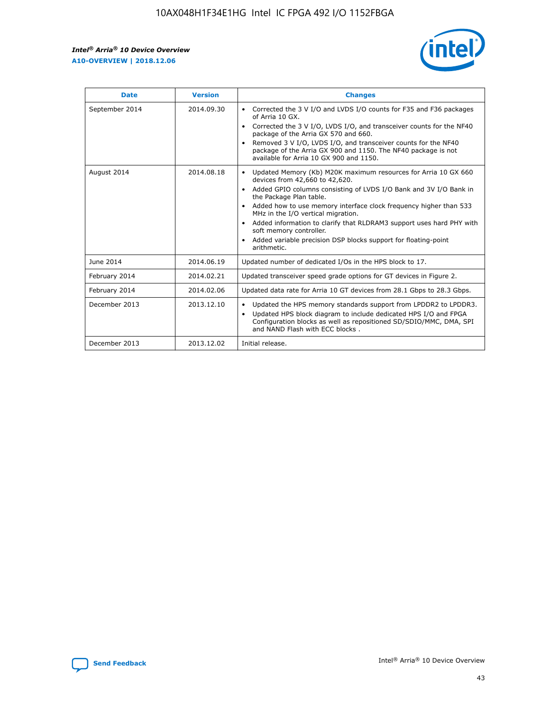r



| <b>Date</b>    | <b>Version</b> | <b>Changes</b>                                                                                                                                                                                                                                                                                                                                                                                                                                                                                                                                      |
|----------------|----------------|-----------------------------------------------------------------------------------------------------------------------------------------------------------------------------------------------------------------------------------------------------------------------------------------------------------------------------------------------------------------------------------------------------------------------------------------------------------------------------------------------------------------------------------------------------|
| September 2014 | 2014.09.30     | Corrected the 3 V I/O and LVDS I/O counts for F35 and F36 packages<br>$\bullet$<br>of Arria 10 GX.<br>Corrected the 3 V I/O, LVDS I/O, and transceiver counts for the NF40<br>$\bullet$<br>package of the Arria GX 570 and 660.<br>Removed 3 V I/O, LVDS I/O, and transceiver counts for the NF40<br>$\bullet$<br>package of the Arria GX 900 and 1150. The NF40 package is not<br>available for Arria 10 GX 900 and 1150.                                                                                                                          |
| August 2014    | 2014.08.18     | Updated Memory (Kb) M20K maximum resources for Arria 10 GX 660<br>devices from 42,660 to 42,620.<br>Added GPIO columns consisting of LVDS I/O Bank and 3V I/O Bank in<br>$\bullet$<br>the Package Plan table.<br>Added how to use memory interface clock frequency higher than 533<br>$\bullet$<br>MHz in the I/O vertical migration.<br>Added information to clarify that RLDRAM3 support uses hard PHY with<br>$\bullet$<br>soft memory controller.<br>Added variable precision DSP blocks support for floating-point<br>$\bullet$<br>arithmetic. |
| June 2014      | 2014.06.19     | Updated number of dedicated I/Os in the HPS block to 17.                                                                                                                                                                                                                                                                                                                                                                                                                                                                                            |
| February 2014  | 2014.02.21     | Updated transceiver speed grade options for GT devices in Figure 2.                                                                                                                                                                                                                                                                                                                                                                                                                                                                                 |
| February 2014  | 2014.02.06     | Updated data rate for Arria 10 GT devices from 28.1 Gbps to 28.3 Gbps.                                                                                                                                                                                                                                                                                                                                                                                                                                                                              |
| December 2013  | 2013.12.10     | Updated the HPS memory standards support from LPDDR2 to LPDDR3.<br>Updated HPS block diagram to include dedicated HPS I/O and FPGA<br>$\bullet$<br>Configuration blocks as well as repositioned SD/SDIO/MMC, DMA, SPI<br>and NAND Flash with ECC blocks.                                                                                                                                                                                                                                                                                            |
| December 2013  | 2013.12.02     | Initial release.                                                                                                                                                                                                                                                                                                                                                                                                                                                                                                                                    |